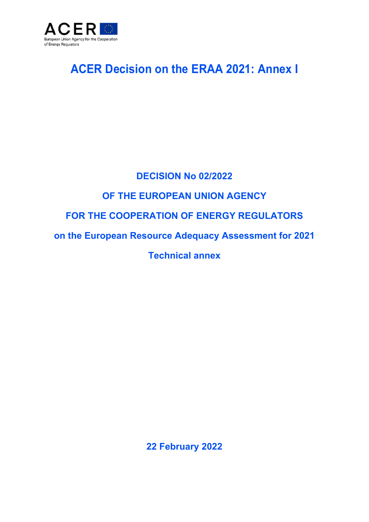

# **ACER Decision on the ERAA 2021: Annex I**

# **DECISION No 02/2022**

## **OF THE EUROPEAN UNION AGENCY**

## **FOR THE COOPERATION OF ENERGY REGULATORS**

**on the European Resource Adequacy Assessment for 2021** 

**Technical annex** 

**22 February 2022**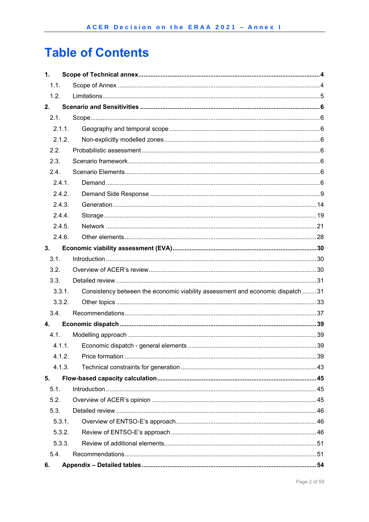# **Table of Contents**

| 1.     |                                                                                |  |
|--------|--------------------------------------------------------------------------------|--|
| 1.1.   |                                                                                |  |
| 1.2.   |                                                                                |  |
| 2.     |                                                                                |  |
| 2.1.   |                                                                                |  |
| 2.1.1. |                                                                                |  |
| 2.1.2. |                                                                                |  |
| 2.2.   |                                                                                |  |
| 2.3.   |                                                                                |  |
| 2.4.   |                                                                                |  |
| 2.4.1. |                                                                                |  |
| 2.4.2. |                                                                                |  |
| 2.4.3. |                                                                                |  |
| 2.4.4. |                                                                                |  |
| 2.4.5. |                                                                                |  |
| 2.4.6. |                                                                                |  |
| 3.     |                                                                                |  |
| 3.1.   |                                                                                |  |
| 3.2.   |                                                                                |  |
| 3.3.   |                                                                                |  |
| 3.3.1. | Consistency between the economic viability assessment and economic dispatch 31 |  |
| 3.3.2. |                                                                                |  |
| 3.4.   |                                                                                |  |
| 4.     |                                                                                |  |
| 4.1.   |                                                                                |  |
| 4.1.1. |                                                                                |  |
| 4.1.2. |                                                                                |  |
| 4.1.3. |                                                                                |  |
| 5.     |                                                                                |  |
| 5.1.   |                                                                                |  |
| 5.2.   |                                                                                |  |
| 5.3.   |                                                                                |  |
| 5.3.1. |                                                                                |  |
| 5.3.2. |                                                                                |  |
| 5.3.3. |                                                                                |  |
| 5.4.   |                                                                                |  |
| 6.     |                                                                                |  |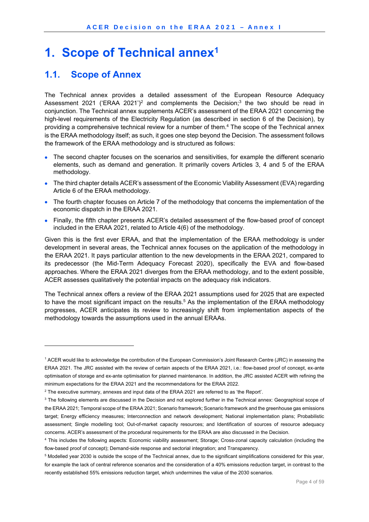## **1. Scope of Technical annex<sup>1</sup>**

### **1.1. Scope of Annex**

1

The Technical annex provides a detailed assessment of the European Resource Adequacy Assessment 2021 ('ERAA 2021')<sup>2</sup> and complements the Decision;<sup>3</sup> the two should be read in conjunction. The Technical annex supplements ACER's assessment of the ERAA 2021 concerning the high-level requirements of the Electricity Regulation (as described in section 6 of the Decision), by providing a comprehensive technical review for a number of them. 4 The scope of the Technical annex is the ERAA methodology itself; as such, it goes one step beyond the Decision. The assessment follows the framework of the ERAA methodology and is structured as follows:

- The second chapter focuses on the scenarios and sensitivities, for example the different scenario elements, such as demand and generation. It primarily covers Articles 3, 4 and 5 of the ERAA methodology.
- The third chapter details ACER's assessment of the Economic Viability Assessment (EVA) regarding Article 6 of the ERAA methodology.
- The fourth chapter focuses on Article 7 of the methodology that concerns the implementation of the economic dispatch in the ERAA 2021.
- Finally, the fifth chapter presents ACER's detailed assessment of the flow-based proof of concept included in the ERAA 2021, related to Article 4(6) of the methodology.

Given this is the first ever ERAA, and that the implementation of the ERAA methodology is under development in several areas, the Technical annex focuses on the application of the methodology in the ERAA 2021. It pays particular attention to the new developments in the ERAA 2021, compared to its predecessor (the Mid-Term Adequacy Forecast 2020), specifically the EVA and flow-based approaches. Where the ERAA 2021 diverges from the ERAA methodology, and to the extent possible, ACER assesses qualitatively the potential impacts on the adequacy risk indicators.

The Technical annex offers a review of the ERAA 2021 assumptions used for 2025 that are expected to have the most significant impact on the results.<sup>5</sup> As the implementation of the ERAA methodology progresses, ACER anticipates its review to increasingly shift from implementation aspects of the methodology towards the assumptions used in the annual ERAAs.

<sup>1</sup> ACER would like to acknowledge the contribution of the European Commission's Joint Research Centre (JRC) in assessing the ERAA 2021. The JRC assisted with the review of certain aspects of the ERAA 2021, i.e.: flow-based proof of concept, ex-ante optimisation of storage and ex-ante optimisation for planned maintenance. In addition, the JRC assisted ACER with refining the minimum expectations for the ERAA 2021 and the recommendations for the ERAA 2022.

 $2$  The executive summary, annexes and input data of the ERAA 2021 are referred to as 'the Report'.

 $^3$  The following elements are discussed in the Decision and not explored further in the Technical annex: Geographical scope of the ERAA 2021; Temporal scope of the ERAA 2021; Scenario framework; Scenario framework and the greenhouse gas emissions target; Energy efficiency measures; Interconnection and network development; National implementation plans; Probabilistic assessment; Single modelling tool; Out-of-market capacity resources; and Identification of sources of resource adequacy concerns. ACER's assessment of the procedural requirements for the ERAA are also discussed in the Decision.

<sup>4</sup> This includes the following aspects: Economic viability assessment; Storage; Cross-zonal capacity calculation (including the flow-based proof of concept); Demand-side response and sectorial integration; and Transparency.

<sup>&</sup>lt;sup>5</sup> Modelled year 2030 is outside the scope of the Technical annex, due to the significant simplifications considered for this year, for example the lack of central reference scenarios and the consideration of a 40% emissions reduction target, in contrast to the recently established 55% emissions reduction target, which undermines the value of the 2030 scenarios.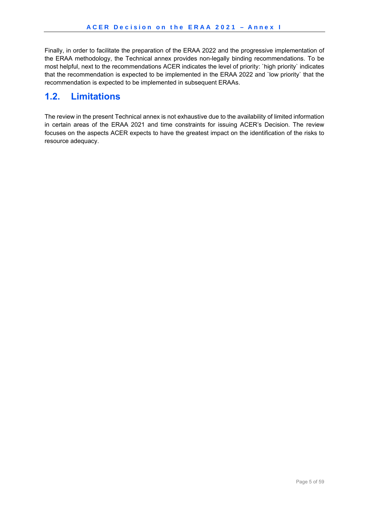Finally, in order to facilitate the preparation of the ERAA 2022 and the progressive implementation of the ERAA methodology, the Technical annex provides non-legally binding recommendations. To be most helpful, next to the recommendations ACER indicates the level of priority: `high priority` indicates that the recommendation is expected to be implemented in the ERAA 2022 and `low priority` that the recommendation is expected to be implemented in subsequent ERAAs.

## **1.2. Limitations**

The review in the present Technical annex is not exhaustive due to the availability of limited information in certain areas of the ERAA 2021 and time constraints for issuing ACER's Decision. The review focuses on the aspects ACER expects to have the greatest impact on the identification of the risks to resource adequacy.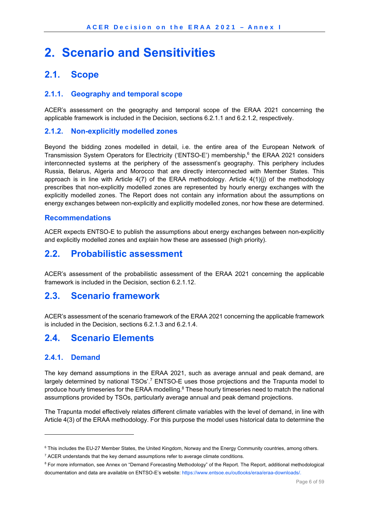# **2. Scenario and Sensitivities**

### **2.1. Scope**

#### **2.1.1. Geography and temporal scope**

ACER's assessment on the geography and temporal scope of the ERAA 2021 concerning the applicable framework is included in the Decision, sections 6.2.1.1 and 6.2.1.2, respectively.

#### **2.1.2. Non-explicitly modelled zones**

Beyond the bidding zones modelled in detail, i.e. the entire area of the European Network of Transmission System Operators for Electricity ('ENTSO-E') membership,6 the ERAA 2021 considers interconnected systems at the periphery of the assessment's geography. This periphery includes Russia, Belarus, Algeria and Morocco that are directly interconnected with Member States. This approach is in line with Article 4(7) of the ERAA methodology. Article 4(1)(j) of the methodology prescribes that non-explicitly modelled zones are represented by hourly energy exchanges with the explicitly modelled zones. The Report does not contain any information about the assumptions on energy exchanges between non-explicitly and explicitly modelled zones, nor how these are determined.

#### **Recommendations**

ACER expects ENTSO-E to publish the assumptions about energy exchanges between non-explicitly and explicitly modelled zones and explain how these are assessed (high priority).

## **2.2. Probabilistic assessment**

ACER's assessment of the probabilistic assessment of the ERAA 2021 concerning the applicable framework is included in the Decision, section 6.2.1.12.

### **2.3. Scenario framework**

ACER's assessment of the scenario framework of the ERAA 2021 concerning the applicable framework is included in the Decision, sections 6.2.1.3 and 6.2.1.4.

## **2.4. Scenario Elements**

#### **2.4.1. Demand**

-

The key demand assumptions in the ERAA 2021, such as average annual and peak demand, are largely determined by national TSOs'.<sup>7</sup> ENTSO-E uses those projections and the Trapunta model to produce hourly timeseries for the ERAA modelling.<sup>8</sup> These hourly timeseries need to match the national assumptions provided by TSOs, particularly average annual and peak demand projections.

The Trapunta model effectively relates different climate variables with the level of demand, in line with Article 4(3) of the ERAA methodology. For this purpose the model uses historical data to determine the

 $7$  ACER understands that the key demand assumptions refer to average climate conditions.

<sup>&</sup>lt;sup>6</sup> This includes the EU-27 Member States, the United Kingdom, Norway and the Energy Community countries, among others.

<sup>&</sup>lt;sup>8</sup> For more information, see Annex on "Demand Forecasting Methodology" of the Report. The Report, additional methodological documentation and data are available on ENTSO-E's website: https://www.entsoe.eu/outlooks/eraa/eraa-downloads/.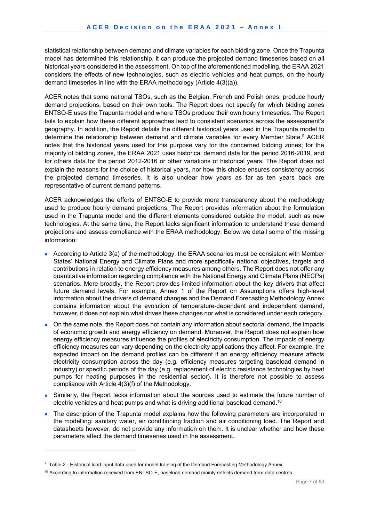statistical relationship between demand and climate variables for each bidding zone. Once the Trapunta model has determined this relationship, it can produce the projected demand timeseries based on all historical years considered in the assessment. On top of the aforementioned modelling, the ERAA 2021 considers the effects of new technologies, such as electric vehicles and heat pumps, on the hourly demand timeseries in line with the ERAA methodology (Article 4(3)(a)).

ACER notes that some national TSOs, such as the Belgian, French and Polish ones, produce hourly demand projections, based on their own tools. The Report does not specify for which bidding zones ENTSO-E uses the Trapunta model and where TSOs produce their own hourly timeseries. The Report fails to explain how these different approaches lead to consistent scenarios across the assessment's geography. In addition, the Report details the different historical years used in the Trapunta model to determine the relationship between demand and climate variables for every Member State.<sup>9</sup> ACER notes that the historical years used for this purpose vary for the concerned bidding zones; for the majority of bidding zones, the ERAA 2021 uses historical demand data for the period 2016-2019, and for others data for the period 2012-2016 or other variations of historical years. The Report does not explain the reasons for the choice of historical years, nor how this choice ensures consistency across the projected demand timeseries. It is also unclear how years as far as ten years back are representative of current demand patterns.

ACER acknowledges the efforts of ENTSO-E to provide more transparency about the methodology used to produce hourly demand projections. The Report provides information about the formulation used in the Trapunta model and the different elements considered outside the model, such as new technologies. At the same time, the Report lacks significant information to understand these demand projections and assess compliance with the ERAA methodology. Below we detail some of the missing information:

- According to Article 3(a) of the methodology, the ERAA scenarios must be consistent with Member States' National Energy and Climate Plans and more specifically national objectives, targets and contributions in relation to energy efficiency measures among others. The Report does not offer any quantitative information regarding compliance with the National Energy and Climate Plans (NECPs) scenarios. More broadly, the Report provides limited information about the key drivers that affect future demand levels. For example, Annex 1 of the Report on Assumptions offers high-level information about the drivers of demand changes and the Demand Forecasting Methodology Annex contains information about the evolution of temperature-dependent and independent demand, however, it does not explain what drives these changes nor what is considered under each category.
- On the same note, the Report does not contain any information about sectorial demand, the impacts of economic growth and energy efficiency on demand. Moreover, the Report does not explain how energy efficiency measures influence the profiles of electricity consumption. The impacts of energy efficiency measures can vary depending on the electricity applications they affect. For example, the expected impact on the demand profiles can be different if an energy efficiency measure affects electricity consumption across the day (e.g. efficiency measures targeting baseload demand in industry) or specific periods of the day (e.g. replacement of electric resistance technologies by heat pumps for heating purposes in the residential sector). It is therefore not possible to assess compliance with Article 4(3)(f) of the Methodology.
- Similarly, the Report lacks information about the sources used to estimate the future number of electric vehicles and heat pumps and what is driving additional baseload demand.10
- The description of the Trapunta model explains how the following parameters are incorporated in the modelling: sanitary water, air conditioning fraction and air conditioning load. The Report and datasheets however, do not provide any information on them. It is unclear whether and how these parameters affect the demand timeseries used in the assessment.

<sup>&</sup>lt;sup>9</sup> Table 2 - Historical load input data used for model training of the Demand Forecasting Methodology Annex.

<sup>&</sup>lt;sup>10</sup> According to information received from ENTSO-E, baseload demand mainly reflects demand from data centres.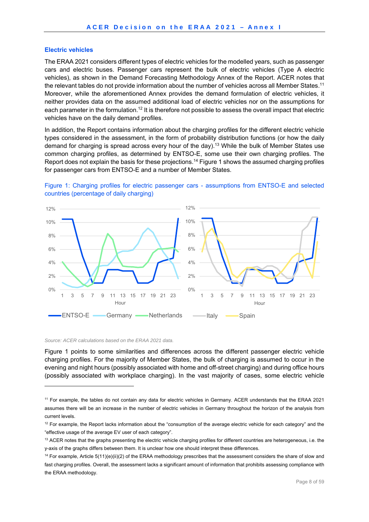#### **Electric vehicles**

The ERAA 2021 considers different types of electric vehicles for the modelled years, such as passenger cars and electric buses. Passenger cars represent the bulk of electric vehicles (Type A electric vehicles), as shown in the Demand Forecasting Methodology Annex of the Report. ACER notes that the relevant tables do not provide information about the number of vehicles across all Member States.<sup>11</sup> Moreover, while the aforementioned Annex provides the demand formulation of electric vehicles, it neither provides data on the assumed additional load of electric vehicles nor on the assumptions for each parameter in the formulation.12 It is therefore not possible to assess the overall impact that electric vehicles have on the daily demand profiles.

In addition, the Report contains information about the charging profiles for the different electric vehicle types considered in the assessment, in the form of probability distribution functions (or how the daily demand for charging is spread across every hour of the day).13 While the bulk of Member States use common charging profiles, as determined by ENTSO-E, some use their own charging profiles. The Report does not explain the basis for these projections.14 Figure 1 shows the assumed charging profiles for passenger cars from ENTSO-E and a number of Member States.





*Source: ACER calculations based on the ERAA 2021 data.* 

-

Figure 1 points to some similarities and differences across the different passenger electric vehicle charging profiles. For the majority of Member States, the bulk of charging is assumed to occur in the evening and night hours (possibly associated with home and off-street charging) and during office hours (possibly associated with workplace charging). In the vast majority of cases, some electric vehicle

<sup>11</sup> For example, the tables do not contain any data for electric vehicles in Germany. ACER understands that the ERAA 2021 assumes there will be an increase in the number of electric vehicles in Germany throughout the horizon of the analysis from current levels.

 $12$  For example, the Report lacks information about the "consumption of the average electric vehicle for each category" and the "effective usage of the average EV user of each category".

 $13$  ACER notes that the graphs presenting the electric vehicle charging profiles for different countries are heterogeneous, i.e. the y-axis of the graphs differs between them. It is unclear how one should interpret these differences.

<sup>&</sup>lt;sup>14</sup> For example, Article  $5(11)(e)(ii)(2)$  of the ERAA methodology prescribes that the assessment considers the share of slow and fast charging profiles. Overall, the assessment lacks a significant amount of information that prohibits assessing compliance with the ERAA methodology.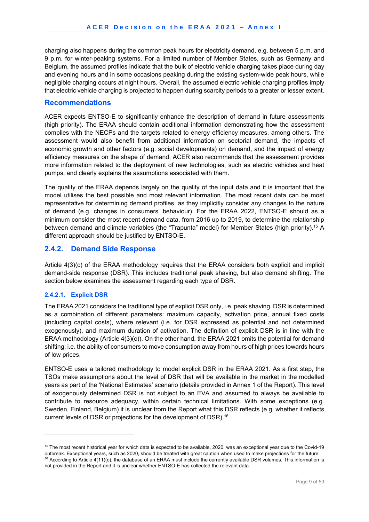charging also happens during the common peak hours for electricity demand, e.g. between 5 p.m. and 9 p.m. for winter-peaking systems. For a limited number of Member States, such as Germany and Belgium, the assumed profiles indicate that the bulk of electric vehicle charging takes place during day and evening hours and in some occasions peaking during the existing system-wide peak hours, while negligible charging occurs at night hours. Overall, the assumed electric vehicle charging profiles imply that electric vehicle charging is projected to happen during scarcity periods to a greater or lesser extent.

#### **Recommendations**

ACER expects ENTSO-E to significantly enhance the description of demand in future assessments (high priority). The ERAA should contain additional information demonstrating how the assessment complies with the NECPs and the targets related to energy efficiency measures, among others. The assessment would also benefit from additional information on sectorial demand, the impacts of economic growth and other factors (e.g. social developments) on demand, and the impact of energy efficiency measures on the shape of demand. ACER also recommends that the assessment provides more information related to the deployment of new technologies, such as electric vehicles and heat pumps, and clearly explains the assumptions associated with them.

The quality of the ERAA depends largely on the quality of the input data and it is important that the model utilises the best possible and most relevant information. The most recent data can be most representative for determining demand profiles, as they implicitly consider any changes to the nature of demand (e.g. changes in consumers' behaviour). For the ERAA 2022, ENTSO-E should as a minimum consider the most recent demand data, from 2016 up to 2019, to determine the relationship between demand and climate variables (the "Trapunta" model) for Member States (high priority).<sup>15</sup> A different approach should be justified by ENTSO-E.

### **2.4.2. Demand Side Response**

Article 4(3)(c) of the ERAA methodology requires that the ERAA considers both explicit and implicit demand-side response (DSR). This includes traditional peak shaving, but also demand shifting. The section below examines the assessment regarding each type of DSR.

#### **2.4.2.1. Explicit DSR**

1

The ERAA 2021 considers the traditional type of explicit DSR only, i.e. peak shaving. DSR is determined as a combination of different parameters: maximum capacity, activation price, annual fixed costs (including capital costs), where relevant (i.e. for DSR expressed as potential and not determined exogenously), and maximum duration of activation. The definition of explicit DSR is in line with the ERAA methodology (Article 4(3)(c)). On the other hand, the ERAA 2021 omits the potential for demand shifting, i.e. the ability of consumers to move consumption away from hours of high prices towards hours of low prices.

ENTSO-E uses a tailored methodology to model explicit DSR in the ERAA 2021. As a first step, the TSOs make assumptions about the level of DSR that will be available in the market in the modelled years as part of the 'National Estimates' scenario (details provided in Annex 1 of the Report). This level of exogenously determined DSR is not subject to an EVA and assumed to always be available to contribute to resource adequacy, within certain technical limitations. With some exceptions (e.g. Sweden, Finland, Belgium) it is unclear from the Report what this DSR reflects (e.g. whether it reflects current levels of DSR or projections for the development of DSR).16

<sup>&</sup>lt;sup>15</sup> The most recent historical year for which data is expected to be available, 2020, was an exceptional year due to the Covid-19 outbreak. Exceptional years, such as 2020, should be treated with great caution when used to make projections for the future.<br><sup>16</sup> According to Article 4(11)(c), the database of an ERAA must include the currently available

not provided in the Report and it is unclear whether ENTSO-E has collected the relevant data.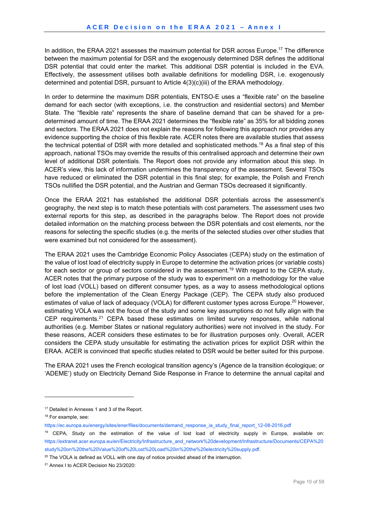In addition, the ERAA 2021 assesses the maximum potential for DSR across Europe.17 The difference between the maximum potential for DSR and the exogenously determined DSR defines the additional DSR potential that could enter the market. This additional DSR potential is included in the EVA. Effectively, the assessment utilises both available definitions for modelling DSR, i.e. exogenously determined and potential DSR, pursuant to Article 4(3)(c)(iii) of the ERAA methodology.

In order to determine the maximum DSR potentials, ENTSO-E uses a "flexible rate" on the baseline demand for each sector (with exceptions, i.e. the construction and residential sectors) and Member State. The "flexible rate" represents the share of baseline demand that can be shaved for a predetermined amount of time. The ERAA 2021 determines the "flexible rate" as 35% for all bidding zones and sectors. The ERAA 2021 does not explain the reasons for following this approach nor provides any evidence supporting the choice of this flexible rate. ACER notes there are available studies that assess the technical potential of DSR with more detailed and sophisticated methods.18 As a final step of this approach, national TSOs may override the results of this centralised approach and determine their own level of additional DSR potentials. The Report does not provide any information about this step. In ACER's view, this lack of information undermines the transparency of the assessment. Several TSOs have reduced or eliminated the DSR potential in this final step; for example, the Polish and French TSOs nullified the DSR potential, and the Austrian and German TSOs decreased it significantly.

Once the ERAA 2021 has established the additional DSR potentials across the assessment's geography, the next step is to match these potentials with cost parameters. The assessment uses two external reports for this step, as described in the paragraphs below. The Report does not provide detailed information on the matching process between the DSR potentials and cost elements, nor the reasons for selecting the specific studies (e.g. the merits of the selected studies over other studies that were examined but not considered for the assessment).

The ERAA 2021 uses the Cambridge Economic Policy Associates (CEPA) study on the estimation of the value of lost load of electricity supply in Europe to determine the activation prices (or variable costs) for each sector or group of sectors considered in the assessment.19 With regard to the CEPA study, ACER notes that the primary purpose of the study was to experiment on a methodology for the value of lost load (VOLL) based on different consumer types, as a way to assess methodological options before the implementation of the Clean Energy Package (CEP). The CEPA study also produced estimates of value of lack of adequacy (VOLA) for different customer types across Europe.<sup>20</sup> However, estimating VOLA was not the focus of the study and some key assumptions do not fully align with the CEP requirements.21 CEPA based these estimates on limited survey responses, while national authorities (e.g. Member States or national regulatory authorities) were not involved in the study. For these reasons, ACER considers these estimates to be for illustration purposes only. Overall, ACER considers the CEPA study unsuitable for estimating the activation prices for explicit DSR within the ERAA. ACER is convinced that specific studies related to DSR would be better suited for this purpose.

The ERAA 2021 uses the French ecological transition agency's (Agence de la transition écologique; or 'ADEME') study on Electricity Demand Side Response in France to determine the annual capital and

<sup>&</sup>lt;sup>17</sup> Detailed in Annexes 1 and 3 of the Report.

<sup>&</sup>lt;sup>18</sup> For example, see:

https://ec.europa.eu/energy/sites/ener/files/documents/demand\_response\_ia\_study\_final\_report\_12-08-2016.pdf

<sup>&</sup>lt;sup>19</sup> CEPA, Study on the estimation of the value of lost load of electricity supply in Europe, available on: https://extranet.acer.europa.eu/en/Electricity/Infrastructure\_and\_network%20development/Infrastructure/Documents/CEPA%20 study%20on%20the%20Value%20of%20Lost%20Load%20in%20the%20electricity%20supply.pdf.

 $20$  The VOLA is defined as VOLL with one day of notice provided ahead of the interruption.

<sup>&</sup>lt;sup>21</sup> Annex I to ACER Decision No 23/2020: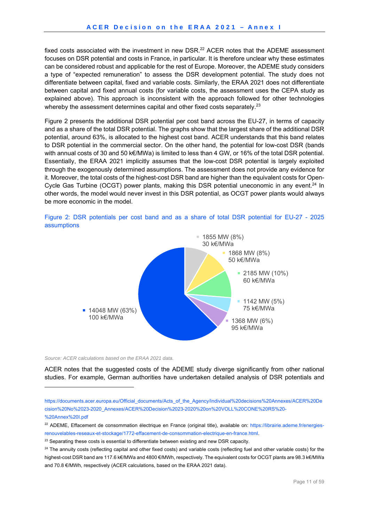fixed costs associated with the investment in new DSR.<sup>22</sup> ACER notes that the ADEME assessment focuses on DSR potential and costs in France, in particular. It is therefore unclear why these estimates can be considered robust and applicable for the rest of Europe. Moreover, the ADEME study considers a type of "expected remuneration" to assess the DSR development potential. The study does not differentiate between capital, fixed and variable costs. Similarly, the ERAA 2021 does not differentiate between capital and fixed annual costs (for variable costs, the assessment uses the CEPA study as explained above). This approach is inconsistent with the approach followed for other technologies whereby the assessment determines capital and other fixed costs separately.<sup>23</sup>

Figure 2 presents the additional DSR potential per cost band across the EU-27, in terms of capacity and as a share of the total DSR potential. The graphs show that the largest share of the additional DSR potential, around 63%, is allocated to the highest cost band. ACER understands that this band relates to DSR potential in the commercial sector. On the other hand, the potential for low-cost DSR (bands with annual costs of 30 and 50 k€/MWa) is limited to less than 4 GW, or 16% of the total DSR potential. Essentially, the ERAA 2021 implicitly assumes that the low-cost DSR potential is largely exploited through the exogenously determined assumptions. The assessment does not provide any evidence for it. Moreover, the total costs of the highest-cost DSR band are higher than the equivalent costs for Open-Cycle Gas Turbine (OCGT) power plants, making this DSR potential uneconomic in any event.<sup>24</sup> In other words, the model would never invest in this DSR potential, as OCGT power plants would always be more economic in the model.



Figure 2: DSR potentials per cost band and as a share of total DSR potential for EU-27 - 2025 assumptions

*Source: ACER calculations based on the ERAA 2021 data.* 

-

ACER notes that the suggested costs of the ADEME study diverge significantly from other national studies. For example, German authorities have undertaken detailed analysis of DSR potentials and

https://documents.acer.europa.eu/Official\_documents/Acts\_of\_the\_Agency/Individual%20decisions%20Annexes/ACER%20De cision%20No%2023-2020\_Annexes/ACER%20Decision%2023-2020%20on%20VOLL%20CONE%20RS%20- %20Annex%20I.pdf

<sup>&</sup>lt;sup>22</sup> ADEME, Effacement de consommation électrique en France (original title), available on: https://librairie.ademe.fr/energiesrenouvelables-reseaux-et-stockage/1772-effacement-de-consommation-electrique-en-france.html.

<sup>&</sup>lt;sup>23</sup> Separating these costs is essential to differentiate between existing and new DSR capacity.

<sup>&</sup>lt;sup>24</sup> The annuity costs (reflecting capital and other fixed costs) and variable costs (reflecting fuel and other variable costs) for the highest-cost DSR band are 117.6 k€/MWa and 4800 €/MWh, respectively. The equivalent costs for OCGT plants are 98.3 k€/MWa and 70.8 €/MWh, respectively (ACER calculations, based on the ERAA 2021 data).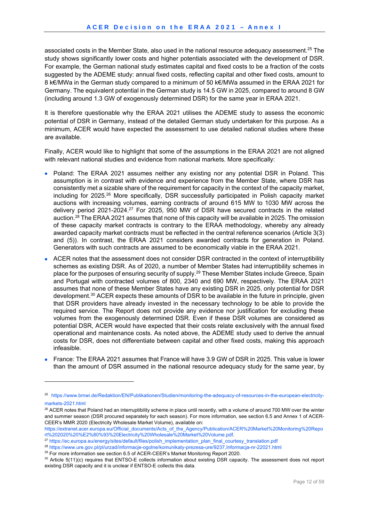associated costs in the Member State, also used in the national resource adequacy assessment.<sup>25</sup> The study shows significantly lower costs and higher potentials associated with the development of DSR. For example, the German national study estimates capital and fixed costs to be a fraction of the costs suggested by the ADEME study: annual fixed costs, reflecting capital and other fixed costs, amount to 8 k€/MWa in the German study compared to a minimum of 50 k€/MWa assumed in the ERAA 2021 for Germany. The equivalent potential in the German study is 14.5 GW in 2025, compared to around 8 GW (including around 1.3 GW of exogenously determined DSR) for the same year in ERAA 2021.

It is therefore questionable why the ERAA 2021 utilises the ADEME study to assess the economic potential of DSR in Germany, instead of the detailed German study undertaken for this purpose. As a minimum, ACER would have expected the assessment to use detailed national studies where these are available.

Finally, ACER would like to highlight that some of the assumptions in the ERAA 2021 are not aligned with relevant national studies and evidence from national markets. More specifically:

- Poland: The ERAA 2021 assumes neither any existing nor any potential DSR in Poland. This assumption is in contrast with evidence and experience from the Member State, where DSR has consistently met a sizable share of the requirement for capacity in the context of the capacity market, including for 2025.26 More specifically, DSR successfully participated in Polish capacity market auctions with increasing volumes, earning contracts of around 615 MW to 1030 MW across the delivery period 2021-2024.27 For 2025, 950 MW of DSR have secured contracts in the related auction.28 The ERAA 2021 assumes that none of this capacity will be available in 2025. The omission of these capacity market contracts is contrary to the ERAA methodology, whereby any already awarded capacity market contracts must be reflected in the central reference scenarios (Article 3(3) and (5)). In contrast, the ERAA 2021 considers awarded contracts for generation in Poland. Generators with such contracts are assumed to be economically viable in the ERAA 2021.
- ACER notes that the assessment does not consider DSR contracted in the context of interruptibility schemes as existing DSR. As of 2020, a number of Member States had interruptibility schemes in place for the purposes of ensuring security of supply.<sup>29</sup> These Member States include Greece, Spain and Portugal with contracted volumes of 800, 2340 and 690 MW, respectively. The ERAA 2021 assumes that none of these Member States have any existing DSR in 2025, only potential for DSR development.30 ACER expects these amounts of DSR to be available in the future in principle, given that DSR providers have already invested in the necessary technology to be able to provide the required service. The Report does not provide any evidence nor justification for excluding these volumes from the exogenously determined DSR. Even if these DSR volumes are considered as potential DSR, ACER would have expected that their costs relate exclusively with the annual fixed operational and maintenance costs. As noted above, the ADEME study used to derive the annual costs for DSR, does not differentiate between capital and other fixed costs, making this approach infeasible.
- France: The ERAA 2021 assumes that France will have 3.9 GW of DSR in 2025. This value is lower than the amount of DSR assumed in the national resource adequacy study for the same year, by

-

<sup>25</sup> https://www.bmwi.de/Redaktion/EN/Publikationen/Studien/monitoring-the-adequacy-of-resources-in-the-european-electricitymarkets-2021.html

<sup>&</sup>lt;sup>26</sup> ACER notes that Poland had an interruptibility scheme in place until recently, with a volume of around 700 MW over the winter and summer season (DSR procured separately for each season). For more information, see section 6.5 and Annex 1 of ACER-CEER's MMR 2020 (Electricity Wholesale Market Volume), available on:

https://extranet.acer.europa.eu/Official\_documents/Acts\_of\_the\_Agency/Publication/ACER%20Market%20Monitoring%20Repo rt%202020%20%E2%80%93%20Electricity%20Wholesale%20Market%20Volume.pdf.<br><sup>27</sup> https://ec.europa.eu/energy/sites/default/files/polish\_implementation\_plan\_final\_courtesy\_translation.pdf<br><sup>28</sup> https://www.ure.gov.pl/pl/urzad/inf

existing DSR capacity and it is unclear if ENTSO-E collects this data.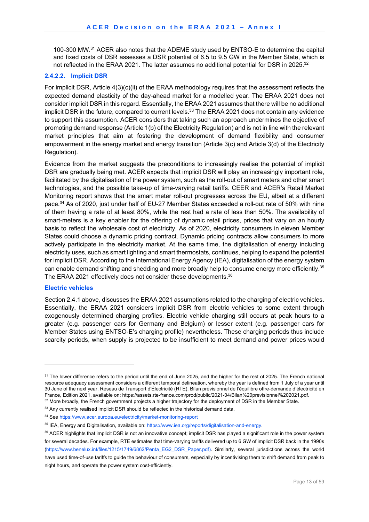100-300 MW.31 ACER also notes that the ADEME study used by ENTSO-E to determine the capital and fixed costs of DSR assesses a DSR potential of 6.5 to 9.5 GW in the Member State, which is not reflected in the ERAA 2021. The latter assumes no additional potential for DSR in 2025.<sup>32</sup>

#### **2.4.2.2. Implicit DSR**

For implicit DSR, Article 4(3)(c)(ii) of the ERAA methodology requires that the assessment reflects the expected demand elasticity of the day-ahead market for a modelled year. The ERAA 2021 does not consider implicit DSR in this regard. Essentially, the ERAA 2021 assumes that there will be no additional implicit DSR in the future, compared to current levels.<sup>33</sup> The ERAA 2021 does not contain any evidence to support this assumption. ACER considers that taking such an approach undermines the objective of promoting demand response (Article 1(b) of the Electricity Regulation) and is not in line with the relevant market principles that aim at fostering the development of demand flexibility and consumer empowerment in the energy market and energy transition (Article 3(c) and Article 3(d) of the Electricity Regulation).

Evidence from the market suggests the preconditions to increasingly realise the potential of implicit DSR are gradually being met. ACER expects that implicit DSR will play an increasingly important role, facilitated by the digitalisation of the power system, such as the roll-out of smart meters and other smart technologies, and the possible take-up of time-varying retail tariffs. CEER and ACER's Retail Market Monitoring report shows that the smart meter roll-out progresses across the EU, albeit at a different pace.34 As of 2020, just under half of EU-27 Member States exceeded a roll-out rate of 50% with nine of them having a rate of at least 80%, while the rest had a rate of less than 50%. The availability of smart-meters is a key enabler for the offering of dynamic retail prices, prices that vary on an hourly basis to reflect the wholesale cost of electricity. As of 2020, electricity consumers in eleven Member States could choose a dynamic pricing contract. Dynamic pricing contracts allow consumers to more actively participate in the electricity market. At the same time, the digitalisation of energy including electricity uses, such as smart lighting and smart thermostats, continues, helping to expand the potential for implicit DSR. According to the International Energy Agency (IEA), digitalisation of the energy system can enable demand shifting and shedding and more broadly help to consume energy more efficiently.<sup>35</sup> The ERAA 2021 effectively does not consider these developments.<sup>36</sup>

#### **Electric vehicles**

1

Section 2.4.1 above, discusses the ERAA 2021 assumptions related to the charging of electric vehicles. Essentially, the ERAA 2021 considers implicit DSR from electric vehicles to some extent through exogenously determined charging profiles. Electric vehicle charging still occurs at peak hours to a greater (e.g. passenger cars for Germany and Belgium) or lesser extent (e.g. passenger cars for Member States using ENTSO-E's charging profile) nevertheless. These charging periods thus include scarcity periods, when supply is projected to be insufficient to meet demand and power prices would

<sup>&</sup>lt;sup>31</sup> The lower difference refers to the period until the end of June 2025, and the higher for the rest of 2025. The French national resource adequacy assessment considers a different temporal delineation, whereby the year is defined from 1 July of a year until 30 June of the next year. Réseau de Transport d'Électricité (RTE), Bilan prévisionnel de l'équilibre offre-demande d'électricité en France, Edition 2021, available on: https://assets.rte-france.com/prod/public/2021-04/Bilan%20previsionnel%202021.pdf.<br><sup>32</sup> More broadly, the French government projects a higher trajectory for the deployment of DSR in the

<sup>&</sup>lt;sup>33</sup> Any currently realised implicit DSR should be reflected in the historical demand data.

<sup>34</sup> See https://www.acer.europa.eu/electricity/market-monitoring-report

<sup>35</sup> IEA, Energy and Digitalisation, available on: https://www.iea.org/reports/digitalisation-and-energy.

<sup>&</sup>lt;sup>36</sup> ACER highlights that implicit DSR is not an innovative concept; implicit DSR has played a significant role in the power system for several decades. For example, RTE estimates that time-varying tariffs delivered up to 6 GW of implicit DSR back in the 1990s (https://www.benelux.int/files/1215/1749/6862/Penta\_EG2\_DSR\_Paper.pdf). Similarly, several jurisdictions across the world have used time-of-use tariffs to guide the behaviour of consumers, especially by incentivising them to shift demand from peak to night hours, and operate the power system cost-efficiently.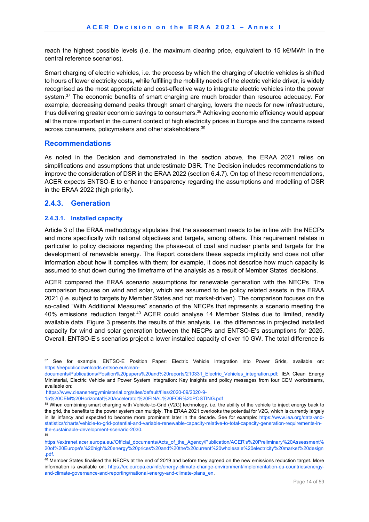reach the highest possible levels (i.e. the maximum clearing price, equivalent to 15 k€/MWh in the central reference scenarios).

Smart charging of electric vehicles, i.e. the process by which the charging of electric vehicles is shifted to hours of lower electricity costs, while fulfilling the mobility needs of the electric vehicle driver, is widely recognised as the most appropriate and cost-effective way to integrate electric vehicles into the power system.<sup>37</sup> The economic benefits of smart charging are much broader than resource adequacy. For example, decreasing demand peaks through smart charging, lowers the needs for new infrastructure, thus delivering greater economic savings to consumers.<sup>38</sup> Achieving economic efficiency would appear all the more important in the current context of high electricity prices in Europe and the concerns raised across consumers, policymakers and other stakeholders.<sup>39</sup>

#### **Recommendations**

As noted in the Decision and demonstrated in the section above, the ERAA 2021 relies on simplifications and assumptions that underestimate DSR. The Decision includes recommendations to improve the consideration of DSR in the ERAA 2022 (section 6.4.7). On top of these recommendations, ACER expects ENTSO-E to enhance transparency regarding the assumptions and modelling of DSR in the ERAA 2022 (high priority).

#### **2.4.3. Generation**

-

#### **2.4.3.1. Installed capacity**

Article 3 of the ERAA methodology stipulates that the assessment needs to be in line with the NECPs and more specifically with national objectives and targets, among others. This requirement relates in particular to policy decisions regarding the phase-out of coal and nuclear plants and targets for the development of renewable energy. The Report considers these aspects implicitly and does not offer information about how it complies with them; for example, it does not describe how much capacity is assumed to shut down during the timeframe of the analysis as a result of Member States' decisions.

ACER compared the ERAA scenario assumptions for renewable generation with the NECPs. The comparison focuses on wind and solar, which are assumed to be policy related assets in the ERAA 2021 (i.e. subject to targets by Member States and not market-driven). The comparison focuses on the so-called "With Additional Measures" scenario of the NECPs that represents a scenario meeting the 40% emissions reduction target.<sup>40</sup> ACER could analyse 14 Member States due to limited, readily available data. Figure 3 presents the results of this analysis, i.e. the differences in projected installed capacity for wind and solar generation between the NECPs and ENTSO-E's assumptions for 2025. Overall, ENTSO-E's scenarios project a lower installed capacity of over 10 GW. The total difference is

<sup>37</sup> See for example, ENTSO-E Position Paper: Electric Vehicle Integration into Power Grids, available on: https://eepublicdownloads.entsoe.eu/clean-

documents/Publications/Position%20papers%20and%20reports/210331\_Electric\_Vehicles\_integration.pdf; IEA Clean Energy Ministerial, Electric Vehicle and Power System Integration: Key insights and policy messages from four CEM workstreams, available on:

https://www.cleanenergyministerial.org/sites/default/files/2020-09/2020-9-<br>15%20CEM%20Horizontal%20Accelerator%20FINAL%20FOR%20POSTING.pdf

<sup>38</sup> When combining smart charging with Vehicle-to-Grid (V2G) technology, i.e. the ability of the vehicle to inject energy back to the grid, the benefits to the power system can multiply. The ERAA 2021 overlooks the potential for V2G, which is currently largely in its infancy and expected to become more prominent later in the decade. See for example: https://www.iea.org/data-andstatistics/charts/vehicle-to-grid-potential-and-variable-renewable-capacity-relative-to-total-capacity-generation-requirements-inthe-sustainable-development-scenario-2030.

https://extranet.acer.europa.eu//Official\_documents/Acts\_of\_the\_Agency/Publication/ACER's%20Preliminary%20Assessment% 20of%20Europe's%20high%20energy%20prices%20and%20the%20current%20wholesale%20electricity%20market%20design

<sup>.</sup>pdf.<br><sup>40</sup> Member States finalised the NECPs at the end of 2019 and before they agreed on the new emissions reduction target. More information is available on: https://ec.europa.eu/info/energy-climate-change-environment/implementation-eu-countries/energyand-climate-governance-and-reporting/national-energy-and-climate-plans\_en.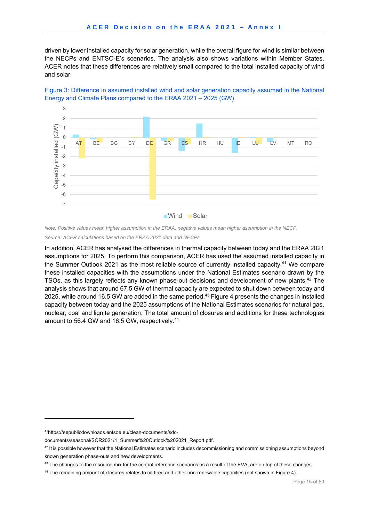driven by lower installed capacity for solar generation, while the overall figure for wind is similar between the NECPs and ENTSO-E's scenarios. The analysis also shows variations within Member States. ACER notes that these differences are relatively small compared to the total installed capacity of wind and solar.





*Note: Positive values mean higher assumption in the ERAA, negative values mean higher assumption in the NECP.* 

*Source: ACER calculations based on the ERAA 2021 data and NECPs.* 

In addition, ACER has analysed the differences in thermal capacity between today and the ERAA 2021 assumptions for 2025. To perform this comparison, ACER has used the assumed installed capacity in the Summer Outlook 2021 as the most reliable source of currently installed capacity.41 We compare these installed capacities with the assumptions under the National Estimates scenario drawn by the TSOs, as this largely reflects any known phase-out decisions and development of new plants.<sup>42</sup> The analysis shows that around 67.5 GW of thermal capacity are expected to shut down between today and 2025, while around 16.5 GW are added in the same period.<sup>43</sup> Figure 4 presents the changes in installed capacity between today and the 2025 assumptions of the National Estimates scenarios for natural gas, nuclear, coal and lignite generation. The total amount of closures and additions for these technologies amount to 56.4 GW and 16.5 GW, respectively.<sup>44</sup>

<sup>41</sup>https://eepublicdownloads.entsoe.eu/clean-documents/sdc-

documents/seasonal/SOR2021/1\_Summer%20Outlook%202021\_Report.pdf.

 $42$  It is possible however that the National Estimates scenario includes decommissioning and commissioning assumptions beyond known generation phase-outs and new developments.

<sup>&</sup>lt;sup>43</sup> The changes to the resource mix for the central reference scenarios as a result of the EVA, are on top of these changes.

<sup>44</sup> The remaining amount of closures relates to oil-fired and other non-renewable capacities (not shown in Figure 4).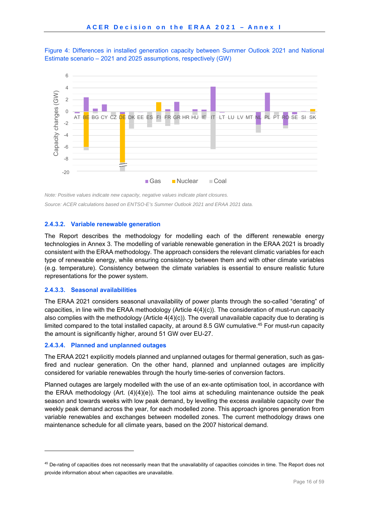Figure 4: Differences in installed generation capacity between Summer Outlook 2021 and National Estimate scenario – 2021 and 2025 assumptions, respectively (GW)



*Note: Positive values indicate new capacity, negative values indicate plant closures. Source: ACER calculations based on ENTSO-E's Summer Outlook 2021 and ERAA 2021 data.* 

#### **2.4.3.2. Variable renewable generation**

The Report describes the methodology for modelling each of the different renewable energy technologies in Annex 3. The modelling of variable renewable generation in the ERAA 2021 is broadly consistent with the ERAA methodology. The approach considers the relevant climatic variables for each type of renewable energy, while ensuring consistency between them and with other climate variables (e.g. temperature). Consistency between the climate variables is essential to ensure realistic future representations for the power system.

#### **2.4.3.3. Seasonal availabilities**

1

The ERAA 2021 considers seasonal unavailability of power plants through the so-called "derating" of capacities, in line with the ERAA methodology (Article 4(4)(c)). The consideration of must-run capacity also complies with the methodology (Article  $4(4)(c)$ ). The overall unavailable capacity due to derating is limited compared to the total installed capacity, at around 8.5 GW cumulative.45 For must-run capacity the amount is significantly higher, around 51 GW over EU-27.

#### **2.4.3.4. Planned and unplanned outages**

The ERAA 2021 explicitly models planned and unplanned outages for thermal generation, such as gasfired and nuclear generation. On the other hand, planned and unplanned outages are implicitly considered for variable renewables through the hourly time-series of conversion factors.

Planned outages are largely modelled with the use of an ex-ante optimisation tool, in accordance with the ERAA methodology (Art. (4)(4)(e)). The tool aims at scheduling maintenance outside the peak season and towards weeks with low peak demand, by levelling the excess available capacity over the weekly peak demand across the year, for each modelled zone. This approach ignores generation from variable renewables and exchanges between modelled zones. The current methodology draws one maintenance schedule for all climate years, based on the 2007 historical demand.

<sup>&</sup>lt;sup>45</sup> De-rating of capacities does not necessarily mean that the unavailability of capacities coincides in time. The Report does not provide information about when capacities are unavailable.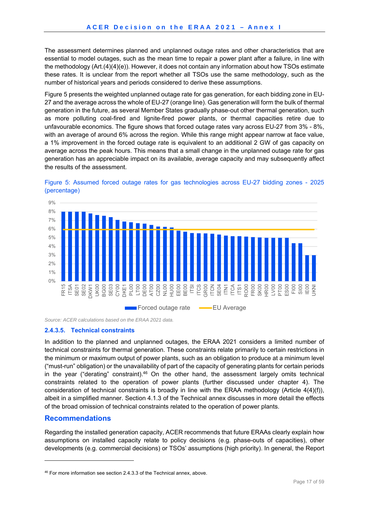The assessment determines planned and unplanned outage rates and other characteristics that are essential to model outages, such as the mean time to repair a power plant after a failure, in line with the methodology (Art.(4)(4)(e)). However, it does not contain any information about how TSOs estimate these rates. It is unclear from the report whether all TSOs use the same methodology, such as the number of historical years and periods considered to derive these assumptions.

Figure 5 presents the weighted unplanned outage rate for gas generation, for each bidding zone in EU-27 and the average across the whole of EU-27 (orange line). Gas generation will form the bulk of thermal generation in the future, as several Member States gradually phase-out other thermal generation, such as more polluting coal-fired and lignite-fired power plants, or thermal capacities retire due to unfavourable economics. The figure shows that forced outage rates vary across EU-27 from 3% - 8%, with an average of around 6% across the region. While this range might appear narrow at face value, a 1% improvement in the forced outage rate is equivalent to an additional 2 GW of gas capacity on average across the peak hours. This means that a small change in the unplanned outage rate for gas generation has an appreciable impact on its available, average capacity and may subsequently affect the results of the assessment.





*Source: ACER calculations based on the ERAA 2021 data.* 

#### **2.4.3.5. Technical constraints**

In addition to the planned and unplanned outages, the ERAA 2021 considers a limited number of technical constraints for thermal generation. These constraints relate primarily to certain restrictions in the minimum or maximum output of power plants, such as an obligation to produce at a minimum level ("must-run" obligation) or the unavailability of part of the capacity of generating plants for certain periods in the year ("derating" constraint).<sup>46</sup> On the other hand, the assessment largely omits technical constraints related to the operation of power plants (further discussed under chapter 4). The consideration of technical constraints is broadly in line with the ERAA methodology (Article 4(4)(f)), albeit in a simplified manner. Section 4.1.3 of the Technical annex discusses in more detail the effects of the broad omission of technical constraints related to the operation of power plants.

#### **Recommendations**

1

Regarding the installed generation capacity, ACER recommends that future ERAAs clearly explain how assumptions on installed capacity relate to policy decisions (e.g. phase-outs of capacities), other developments (e.g. commercial decisions) or TSOs' assumptions (high priority). In general, the Report

<sup>&</sup>lt;sup>46</sup> For more information see section 2.4.3.3 of the Technical annex, above.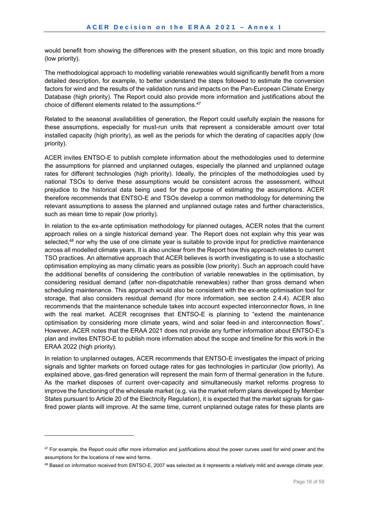would benefit from showing the differences with the present situation, on this topic and more broadly (low priority).

The methodological approach to modelling variable renewables would significantly benefit from a more detailed description, for example, to better understand the steps followed to estimate the conversion factors for wind and the results of the validation runs and impacts on the Pan-European Climate Energy Database (high priority). The Report could also provide more information and justifications about the choice of different elements related to the assumptions.<sup>47</sup>

Related to the seasonal availabilities of generation, the Report could usefully explain the reasons for these assumptions, especially for must-run units that represent a considerable amount over total installed capacity (high priority), as well as the periods for which the derating of capacities apply (low priority).

ACER invites ENTSO-E to publish complete information about the methodologies used to determine the assumptions for planned and unplanned outages, especially the planned and unplanned outage rates for different technologies (high priority). Ideally, the principles of the methodologies used by national TSOs to derive these assumptions would be consistent across the assessment, without prejudice to the historical data being used for the purpose of estimating the assumptions. ACER therefore recommends that ENTSO-E and TSOs develop a common methodology for determining the relevant assumptions to assess the planned and unplanned outage rates and further characteristics, such as mean time to repair (low priority).

In relation to the ex-ante optimisation methodology for planned outages, ACER notes that the current approach relies on a single historical demand year. The Report does not explain why this year was selected,<sup>48</sup> nor why the use of one climate year is suitable to provide input for predictive maintenance across all modelled climate years. It is also unclear from the Report how this approach relates to current TSO practices. An alternative approach that ACER believes is worth investigating is to use a stochastic optimisation employing as many climatic years as possible (low priority). Such an approach could have the additional benefits of considering the contribution of variable renewables in the optimisation, by considering residual demand (after non-dispatchable renewables) rather than gross demand when scheduling maintenance. This approach would also be consistent with the ex-ante optimisation tool for storage, that also considers residual demand (for more information, see section 2.4.4). ACER also recommends that the maintenance schedule takes into account expected interconnector flows, in line with the real market. ACER recognises that ENTSO-E is planning to "extend the maintenance optimisation by considering more climate years, wind and solar feed-in and interconnection flows". However, ACER notes that the ERAA 2021 does not provide any further information about ENTSO-E's plan and invites ENTSO-E to publish more information about the scope and timeline for this work in the ERAA 2022 (high priority).

In relation to unplanned outages, ACER recommends that ENTSO-E investigates the impact of pricing signals and tighter markets on forced outage rates for gas technologies in particular (low priority). As explained above, gas-fired generation will represent the main form of thermal generation in the future. As the market disposes of current over-capacity and simultaneously market reforms progress to improve the functioning of the wholesale market (e.g. via the market reform plans developed by Member States pursuant to Article 20 of the Electricity Regulation), it is expected that the market signals for gasfired power plants will improve. At the same time, current unplanned outage rates for these plants are

-

<sup>&</sup>lt;sup>47</sup> For example, the Report could offer more information and justifications about the power curves used for wind power and the assumptions for the locations of new wind farms.

<sup>48</sup> Based on information received from ENTSO-E, 2007 was selected as it represents a relatively mild and average climate year.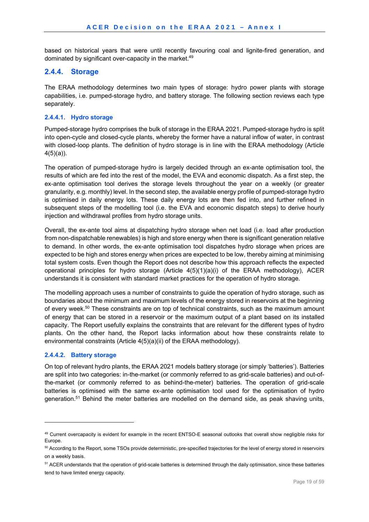based on historical years that were until recently favouring coal and lignite-fired generation, and dominated by significant over-capacity in the market.<sup>49</sup>

#### **2.4.4. Storage**

The ERAA methodology determines two main types of storage: hydro power plants with storage capabilities, i.e. pumped-storage hydro, and battery storage. The following section reviews each type separately.

#### **2.4.4.1. Hydro storage**

Pumped-storage hydro comprises the bulk of storage in the ERAA 2021. Pumped-storage hydro is split into open-cycle and closed-cycle plants, whereby the former have a natural inflow of water, in contrast with closed-loop plants. The definition of hydro storage is in line with the ERAA methodology (Article  $4(5)(a)$ ).

The operation of pumped-storage hydro is largely decided through an ex-ante optimisation tool, the results of which are fed into the rest of the model, the EVA and economic dispatch. As a first step, the ex-ante optimisation tool derives the storage levels throughout the year on a weekly (or greater granularity, e.g. monthly) level. In the second step, the available energy profile of pumped-storage hydro is optimised in daily energy lots. These daily energy lots are then fed into, and further refined in subsequent steps of the modelling tool (i.e. the EVA and economic dispatch steps) to derive hourly injection and withdrawal profiles from hydro storage units.

Overall, the ex-ante tool aims at dispatching hydro storage when net load (i.e. load after production from non-dispatchable renewables) is high and store energy when there is significant generation relative to demand. In other words, the ex-ante optimisation tool dispatches hydro storage when prices are expected to be high and stores energy when prices are expected to be low, thereby aiming at minimising total system costs. Even though the Report does not describe how this approach reflects the expected operational principles for hydro storage (Article 4(5)(1)(a)(i) of the ERAA methodology), ACER understands it is consistent with standard market practices for the operation of hydro storage.

The modelling approach uses a number of constraints to guide the operation of hydro storage, such as boundaries about the minimum and maximum levels of the energy stored in reservoirs at the beginning of every week.<sup>50</sup> These constraints are on top of technical constraints, such as the maximum amount of energy that can be stored in a reservoir or the maximum output of a plant based on its installed capacity. The Report usefully explains the constraints that are relevant for the different types of hydro plants. On the other hand, the Report lacks information about how these constraints relate to environmental constraints (Article 4(5)(a)(ii) of the ERAA methodology).

#### **2.4.4.2. Battery storage**

1

On top of relevant hydro plants, the ERAA 2021 models battery storage (or simply 'batteries'). Batteries are split into two categories: in-the-market (or commonly referred to as grid-scale batteries) and out-ofthe-market (or commonly referred to as behind-the-meter) batteries. The operation of grid-scale batteries is optimised with the same ex-ante optimisation tool used for the optimisation of hydro generation.51 Behind the meter batteries are modelled on the demand side, as peak shaving units,

<sup>49</sup> Current overcapacity is evident for example in the recent ENTSO-E seasonal outlooks that overall show negligible risks for Europe.

<sup>&</sup>lt;sup>50</sup> According to the Report, some TSOs provide deterministic, pre-specified trajectories for the level of energy stored in reservoirs on a weekly basis.

<sup>&</sup>lt;sup>51</sup> ACER understands that the operation of grid-scale batteries is determined through the daily optimisation, since these batteries tend to have limited energy capacity.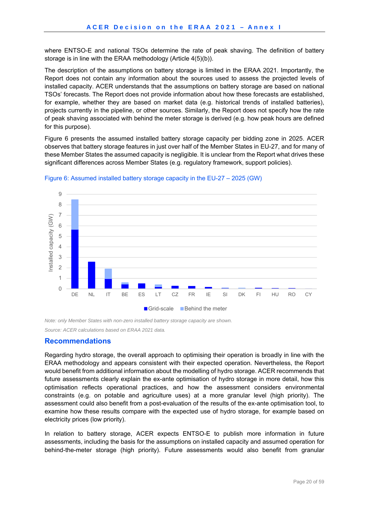where ENTSO-E and national TSOs determine the rate of peak shaving. The definition of battery storage is in line with the ERAA methodology (Article 4(5)(b)).

The description of the assumptions on battery storage is limited in the ERAA 2021. Importantly, the Report does not contain any information about the sources used to assess the projected levels of installed capacity. ACER understands that the assumptions on battery storage are based on national TSOs' forecasts. The Report does not provide information about how these forecasts are established, for example, whether they are based on market data (e.g. historical trends of installed batteries), projects currently in the pipeline, or other sources. Similarly, the Report does not specify how the rate of peak shaving associated with behind the meter storage is derived (e.g. how peak hours are defined for this purpose).

Figure 6 presents the assumed installed battery storage capacity per bidding zone in 2025. ACER observes that battery storage features in just over half of the Member States in EU-27, and for many of these Member States the assumed capacity is negligible. It is unclear from the Report what drives these significant differences across Member States (e.g. regulatory framework, support policies).



Figure 6: Assumed installed battery storage capacity in the EU-27 – 2025 (GW)

*Note: only Member States with non-zero installed battery storage capacity are shown.* 

*Source: ACER calculations based on ERAA 2021 data.* 

#### **Recommendations**

Regarding hydro storage, the overall approach to optimising their operation is broadly in line with the ERAA methodology and appears consistent with their expected operation. Nevertheless, the Report would benefit from additional information about the modelling of hydro storage. ACER recommends that future assessments clearly explain the ex-ante optimisation of hydro storage in more detail, how this optimisation reflects operational practices, and how the assessment considers environmental constraints (e.g. on potable and agriculture uses) at a more granular level (high priority). The assessment could also benefit from a post-evaluation of the results of the ex-ante optimisation tool, to examine how these results compare with the expected use of hydro storage, for example based on electricity prices (low priority).

In relation to battery storage, ACER expects ENTSO-E to publish more information in future assessments, including the basis for the assumptions on installed capacity and assumed operation for behind-the-meter storage (high priority). Future assessments would also benefit from granular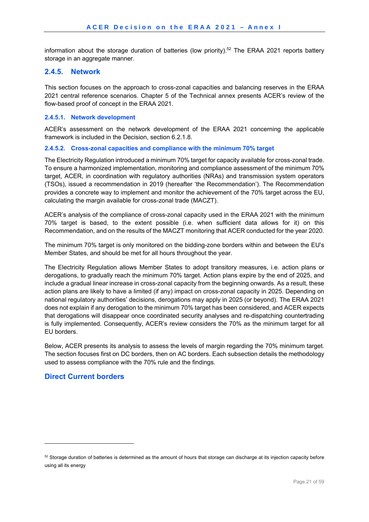information about the storage duration of batteries (low priority).<sup>52</sup> The ERAA 2021 reports battery storage in an aggregate manner.

#### **2.4.5. Network**

This section focuses on the approach to cross-zonal capacities and balancing reserves in the ERAA 2021 central reference scenarios. Chapter 5 of the Technical annex presents ACER's review of the flow-based proof of concept in the ERAA 2021.

#### **2.4.5.1. Network development**

ACER's assessment on the network development of the ERAA 2021 concerning the applicable framework is included in the Decision, section 6.2.1.8.

#### **2.4.5.2. Cross-zonal capacities and compliance with the minimum 70% target**

The Electricity Regulation introduced a minimum 70% target for capacity available for cross-zonal trade. To ensure a harmonized implementation, monitoring and compliance assessment of the minimum 70% target, ACER, in coordination with regulatory authorities (NRAs) and transmission system operators (TSOs), issued a recommendation in 2019 (hereafter 'the Recommendation'). The Recommendation provides a concrete way to implement and monitor the achievement of the 70% target across the EU, calculating the margin available for cross-zonal trade (MACZT).

ACER's analysis of the compliance of cross-zonal capacity used in the ERAA 2021 with the minimum 70% target is based, to the extent possible (i.e. when sufficient data allows for it) on this Recommendation, and on the results of the MACZT monitoring that ACER conducted for the year 2020.

The minimum 70% target is only monitored on the bidding-zone borders within and between the EU's Member States, and should be met for all hours throughout the year.

The Electricity Regulation allows Member States to adopt transitory measures, i.e. action plans or derogations, to gradually reach the minimum 70% target. Action plans expire by the end of 2025, and include a gradual linear increase in cross-zonal capacity from the beginning onwards. As a result, these action plans are likely to have a limited (if any) impact on cross-zonal capacity in 2025. Depending on national regulatory authorities' decisions, derogations may apply in 2025 (or beyond). The ERAA 2021 does not explain if any derogation to the minimum 70% target has been considered, and ACER expects that derogations will disappear once coordinated security analyses and re-dispatching countertrading is fully implemented. Consequently, ACER's review considers the 70% as the minimum target for all EU borders.

Below, ACER presents its analysis to assess the levels of margin regarding the 70% minimum target. The section focuses first on DC borders, then on AC borders. Each subsection details the methodology used to assess compliance with the 70% rule and the findings.

#### **Direct Current borders**

 $52$  Storage duration of batteries is determined as the amount of hours that storage can discharge at its injection capacity before using all its energy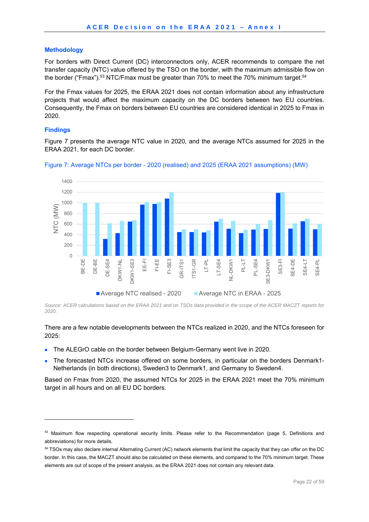#### **Methodology**

For borders with Direct Current (DC) interconnectors only, ACER recommends to compare the net transfer capacity (NTC) value offered by the TSO on the border, with the maximum admissible flow on the border ("Fmax").<sup>53</sup> NTC/Fmax must be greater than 70% to meet the 70% minimum target.<sup>54</sup>

For the Fmax values for 2025, the ERAA 2021 does not contain information about any infrastructure projects that would affect the maximum capacity on the DC borders between two EU countries. Consequently, the Fmax on borders between EU countries are considered identical in 2025 to Fmax in 2020.

#### **Findings**

1

Figure 7 presents the average NTC value in 2020, and the average NTCs assumed for 2025 in the ERAA 2021, for each DC border.



Figure 7: Average NTCs per border - 2020 (realised) and 2025 (ERAA 2021 assumptions) (MW)

*Source: ACER calculations based on the ERAA 2021 and on TSOs data provided in the scope of the ACER MACZT reports for 2020.* 

There are a few notable developments between the NTCs realized in 2020, and the NTCs foreseen for 2025:

- The ALEGrO cable on the border between Belgium-Germany went live in 2020.
- The forecasted NTCs increase offered on some borders, in particular on the borders Denmark1- Netherlands (in both directions), Sweden3 to Denmark1, and Germany to Sweden4.

Based on Fmax from 2020, the assumed NTCs for 2025 in the ERAA 2021 meet the 70% minimum target in all hours and on all EU DC borders.

<sup>&</sup>lt;sup>53</sup> Maximum flow respecting operational security limits. Please refer to the Recommendation (page 5, Definitions and abbreviations) for more details.

<sup>54</sup> TSOs may also declare internal Alternating Current (AC) network elements that limit the capacity that they can offer on the DC border. In this case, the MACZT should also be calculated on these elements, and compared to the 70% minimum target. These elements are out of scope of the present analysis, as the ERAA 2021 does not contain any relevant data.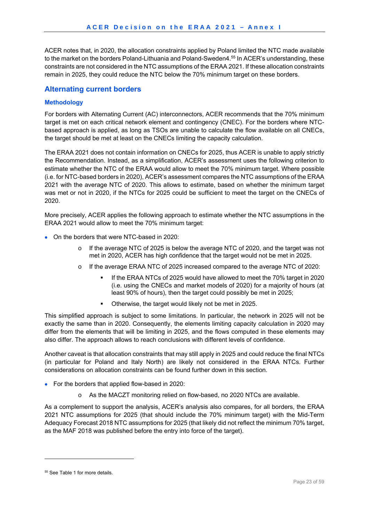ACER notes that, in 2020, the allocation constraints applied by Poland limited the NTC made available to the market on the borders Poland-Lithuania and Poland-Sweden4.<sup>55</sup> In ACER's understanding, these constraints are not considered in the NTC assumptions of the ERAA 2021. If these allocation constraints remain in 2025, they could reduce the NTC below the 70% minimum target on these borders.

### **Alternating current borders**

#### **Methodology**

For borders with Alternating Current (AC) interconnectors, ACER recommends that the 70% minimum target is met on each critical network element and contingency (CNEC). For the borders where NTCbased approach is applied, as long as TSOs are unable to calculate the flow available on all CNECs, the target should be met at least on the CNECs limiting the capacity calculation.

The ERAA 2021 does not contain information on CNECs for 2025, thus ACER is unable to apply strictly the Recommendation. Instead, as a simplification, ACER's assessment uses the following criterion to estimate whether the NTC of the ERAA would allow to meet the 70% minimum target. Where possible (i.e. for NTC-based borders in 2020), ACER's assessment compares the NTC assumptions of the ERAA 2021 with the average NTC of 2020. This allows to estimate, based on whether the minimum target was met or not in 2020, if the NTCs for 2025 could be sufficient to meet the target on the CNECs of 2020.

More precisely, ACER applies the following approach to estimate whether the NTC assumptions in the ERAA 2021 would allow to meet the 70% minimum target:

- On the borders that were NTC-based in 2020:
	- If the average NTC of 2025 is below the average NTC of 2020, and the target was not met in 2020, ACER has high confidence that the target would not be met in 2025.
	- o If the average ERAA NTC of 2025 increased compared to the average NTC of 2020:
		- If the ERAA NTCs of 2025 would have allowed to meet the 70% target in 2020 (i.e. using the CNECs and market models of 2020) for a majority of hours (at least 90% of hours), then the target could possibly be met in 2025;
		- Otherwise, the target would likely not be met in 2025.

This simplified approach is subject to some limitations. In particular, the network in 2025 will not be exactly the same than in 2020. Consequently, the elements limiting capacity calculation in 2020 may differ from the elements that will be limiting in 2025, and the flows computed in these elements may also differ. The approach allows to reach conclusions with different levels of confidence.

Another caveat is that allocation constraints that may still apply in 2025 and could reduce the final NTCs (in particular for Poland and Italy North) are likely not considered in the ERAA NTCs. Further considerations on allocation constraints can be found further down in this section.

- For the borders that applied flow-based in 2020:
	- o As the MACZT monitoring relied on flow-based, no 2020 NTCs are available.

As a complement to support the analysis, ACER's analysis also compares, for all borders, the ERAA 2021 NTC assumptions for 2025 (that should include the 70% minimum target) with the Mid-Term Adequacy Forecast 2018 NTC assumptions for 2025 (that likely did not reflect the minimum 70% target, as the MAF 2018 was published before the entry into force of the target).

-

<sup>55</sup> See Table 1 for more details.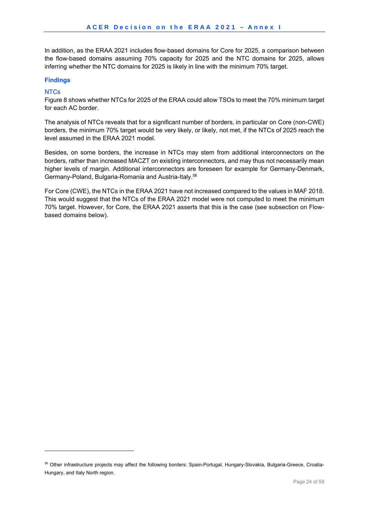In addition, as the ERAA 2021 includes flow-based domains for Core for 2025, a comparison between the flow-based domains assuming 70% capacity for 2025 and the NTC domains for 2025, allows inferring whether the NTC domains for 2025 is likely in line with the minimum 70% target.

#### **Findings**

#### **NTCs**

1

Figure 8 shows whether NTCs for 2025 of the ERAA could allow TSOs to meet the 70% minimum target for each AC border.

The analysis of NTCs reveals that for a significant number of borders, in particular on Core (non-CWE) borders, the minimum 70% target would be very likely, or likely, not met, if the NTCs of 2025 reach the level assumed in the ERAA 2021 model.

Besides, on some borders, the increase in NTCs may stem from additional interconnectors on the borders, rather than increased MACZT on existing interconnectors, and may thus not necessarily mean higher levels of margin. Additional interconnectors are foreseen for example for Germany-Denmark, Germany-Poland, Bulgaria-Romania and Austria-Italy.56

For Core (CWE), the NTCs in the ERAA 2021 have not increased compared to the values in MAF 2018. This would suggest that the NTCs of the ERAA 2021 model were not computed to meet the minimum 70% target. However, for Core, the ERAA 2021 asserts that this is the case (see subsection on Flowbased domains below).

<sup>56</sup> Other infrastructure projects may affect the following borders: Spain-Portugal, Hungary-Slovakia, Bulgaria-Greece, Croatia-Hungary, and Italy North region.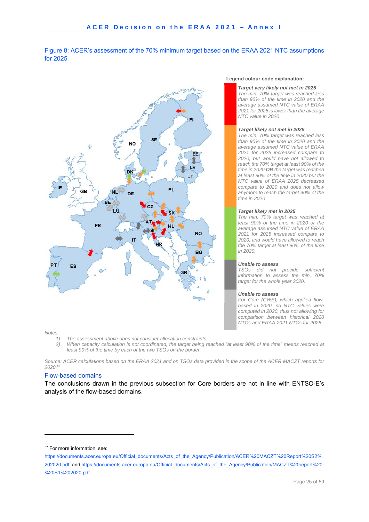

Figure 8: ACER's assessment of the 70% minimum target based on the ERAA 2021 NTC assumptions for 2025

#### *Notes:*

-

- *1) The assessment above does not consider allocation constraints.*
- *2) When capacity calculation is not coordinated, the target being reached "at least 90% of the time" means reached at least 90% of the time by each of the two TSOs on the border.*

*Source: ACER calculations based on the ERAA 2021 and on TSOs data provided in the scope of the ACER MACZT reports for 2020.57*

#### Flow-based domains

The conclusions drawn in the previous subsection for Core borders are not in line with ENTSO-E's analysis of the flow-based domains.

#### **Legend colour code explanation:**

#### *Target very likely not met in 2025*

*The min. 70% target was reached less than 90% of the time in 2020 and the average assumed NTC value of ERAA 2021 for 2025 is lower than the average NTC value in 2020* 

#### *Target likely not met in 2025*

*The min. 70% target was reached less than 90% of the time in 2020 and the average assumed NTC value of ERAA 2021 for 2025 increased compare to 2020, but would have not allowed to reach the 70% target at least 90% of the time in 2020 OR the target was reached at least 90% of the time in 2020 but the NTC value of ERAA 2025 decreased compare to 2020 and does not allow anymore to reach the target 90% of the time in 2020* 

#### *Target likely met in 2025*

*The min. 70% target was reached at least 90% of the time in 2020 or the average assumed NTC value of ERAA 2021 for 2025 increased compare to 2020, and would have allowed to reach the 70% target at least 90% of the time in 2020.*

#### *Unable to assess*

*TSOs did not provide sufficient information to assess the min. 70% target for the whole year 2020.*

#### *Unable to assess*

*For Core (CWE), which applied flowbased in 2020, no NTC values were computed in 2020, thus not allowing for comparison between historical 2020 NTCs and ERAA 2021 NTCs for 2025.* 

<sup>57</sup> For more information, see:

https://documents.acer.europa.eu/Official\_documents/Acts\_of\_the\_Agency/Publication/ACER%20MACZT%20Report%20S2% 202020.pdf; and https://documents.acer.europa.eu/Official\_documents/Acts\_of\_the\_Agency/Publication/MACZT%20report%20- %20S1%202020.pdf.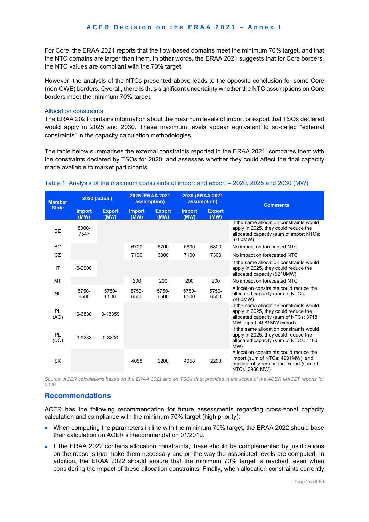For Core, the ERAA 2021 reports that the flow-based domains meet the minimum 70% target, and that the NTC domains are larger than them. In other words, the ERAA 2021 suggests that for Core borders, the NTC values are compliant with the 70% target.

However, the analysis of the NTCs presented above leads to the opposite conclusion for some Core (non-CWE) borders. Overall, there is thus significant uncertainty whether the NTC assumptions on Core borders meet the minimum 70% target.

#### Allocation constraints

The ERAA 2021 contains information about the maximum levels of import or export that TSOs declared would apply in 2025 and 2030. These maximum levels appear equivalent to so-called "external constraints" in the capacity calculation methodologies.

The table below summarises the external constraints reported in the ERAA 2021, compares them with the constraints declared by TSOs for 2020, and assesses whether they could affect the final capacity made available to market participants.

| <b>Member</b>     | <b>2020 (actual)</b>  |                       | 2025 (ERAA 2021<br>assumption) |                       | 2030 (ERAA 2021<br>assumption) |                       | <b>Comments</b>                                                                                                                                        |  |
|-------------------|-----------------------|-----------------------|--------------------------------|-----------------------|--------------------------------|-----------------------|--------------------------------------------------------------------------------------------------------------------------------------------------------|--|
| <b>State</b>      | <b>Import</b><br>(MW) | <b>Export</b><br>(MW) | <b>Import</b><br>(MW)          | <b>Export</b><br>(MW) | <b>Import</b><br>(MW)          | <b>Export</b><br>(MW) |                                                                                                                                                        |  |
| <b>BE</b>         | 5000-<br>7547         |                       |                                |                       |                                |                       | If the same allocation constraints would<br>apply in 2025, they could reduce the<br>allocated capacity (sum of import NTCs:<br>6700MW)                 |  |
| <b>BG</b>         |                       |                       | 6700                           | 6700                  | 6800                           | 6800                  | No impact on forecasted NTC                                                                                                                            |  |
| CZ                |                       |                       | 7100                           | 6800                  | 7100                           | 7300                  | No impact on forecasted NTC                                                                                                                            |  |
| IT                | 0-9000                |                       |                                |                       |                                |                       | If the same allocation constraints would<br>apply in 2025, they could reduce the<br>allocated capacity (5210MW)                                        |  |
| <b>MT</b>         |                       |                       | 200                            | 200                   | 200                            | 200                   | No impact on forecasted NTC                                                                                                                            |  |
| <b>NL</b>         | 5750-<br>6500         | 5750-<br>6500         | 5750-<br>6500                  | 5750-<br>6500         | 5750-<br>6500                  | 5750-<br>6500         | Allocation constraints could reduce the<br>allocated capacity (sum of NTCs:<br>7400MW)                                                                 |  |
| PL<br>(AC)        | 0-6830                | 0-13359               |                                |                       |                                |                       | If the same allocation constraints would<br>apply in 2025, they could reduce the<br>allocated capacity (sum of NTCs: 3718<br>MW import, 4981MW export) |  |
| <b>PL</b><br>(DC) | 0-9233                | 0-8800                |                                |                       |                                |                       | If the same allocation constraints would<br>apply in 2025, they could reduce the<br>allocated capacity (sum of NTCs: 1100<br>MW)                       |  |
| <b>SK</b>         |                       |                       | 4058                           | 2200                  | 4058                           | 2200                  | Allocation constraints could reduce the<br>import (sum of NTCs: 4931MW), and<br>considerably reduce the export (sum of<br>NTCs: 3960 MW)               |  |

#### Table 1: Analysis of the maximum constraints of import and export – 2020, 2025 and 2030 (MW)

*Source: ACER calculations based on the ERAA 2021 and on TSOs data provided in the scope of the ACER MACZT reports for 2020* 

### **Recommendations**

ACER has the following recommendation for future assessments regarding cross-zonal capacity calculation and compliance with the minimum 70% target (high priority):

- When computing the parameters in line with the minimum 70% target, the ERAA 2022 should base their calculation on ACER's Recommendation 01/2019.
- If the ERAA 2022 contains allocation constraints, these should be complemented by justifications on the reasons that make them necessary and on the way the associated levels are computed. In addition, the ERAA 2022 should ensure that the minimum 70% target is reached, even when considering the impact of these allocation constraints. Finally, when allocation constraints currently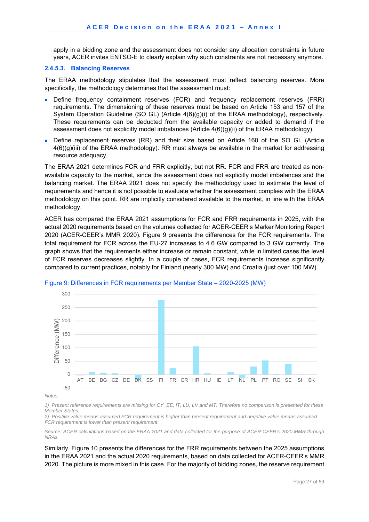apply in a bidding zone and the assessment does not consider any allocation constraints in future years, ACER invites ENTSO-E to clearly explain why such constraints are not necessary anymore.

#### **2.4.5.3. Balancing Reserves**

The ERAA methodology stipulates that the assessment must reflect balancing reserves. More specifically, the methodology determines that the assessment must:

- Define frequency containment reserves (FCR) and frequency replacement reserves (FRR) requirements. The dimensioning of these reserves must be based on Article 153 and 157 of the System Operation Guideline (SO GL) (Article 4(6)(g)(i) of the ERAA methodology), respectively. These requirements can be deducted from the available capacity or added to demand if the assessment does not explicitly model imbalances (Article 4(6)(g)(ii) of the ERAA methodology).
- Define replacement reserves (RR) and their size based on Article 160 of the SO GL (Article  $4(6)(g)(iii)$  of the ERAA methodology). RR must always be available in the market for addressing resource adequacy.

The ERAA 2021 determines FCR and FRR explicitly, but not RR. FCR and FRR are treated as nonavailable capacity to the market, since the assessment does not explicitly model imbalances and the balancing market. The ERAA 2021 does not specify the methodology used to estimate the level of requirements and hence it is not possible to evaluate whether the assessment complies with the ERAA methodology on this point. RR are implicitly considered available to the market, in line with the ERAA methodology.

ACER has compared the ERAA 2021 assumptions for FCR and FRR requirements in 2025, with the actual 2020 requirements based on the volumes collected for ACER-CEER's Marker Monitoring Report 2020 (ACER-CEER's MMR 2020). Figure 9 presents the differences for the FCR requirements. The total requirement for FCR across the EU-27 increases to 4.6 GW compared to 3 GW currently. The graph shows that the requirements either increase or remain constant, while in limited cases the level of FCR reserves decreases slightly. In a couple of cases, FCR requirements increase significantly compared to current practices, notably for Finland (nearly 300 MW) and Croatia (just over 100 MW).



#### Figure 9: Differences in FCR requirements per Member State – 2020-2025 (MW)

*Notes:* 

*1) Present reference requirements are missing for CY, EE, IT, LU, LV and MT. Therefore no comparison is presented for these Member States.* 

*2) Positive value means assumed FCR requirement is higher than present requirement and negative value means assumed FCR requirement is lower than present requirement.* 

*Source: ACER calculations based on the ERAA 2021 and data collected for the purpose of ACER-CEER's 2020 MMR through NRAs.* 

Similarly, Figure 10 presents the differences for the FRR requirements between the 2025 assumptions in the ERAA 2021 and the actual 2020 requirements, based on data collected for ACER-CEER's MMR 2020. The picture is more mixed in this case. For the majority of bidding zones, the reserve requirement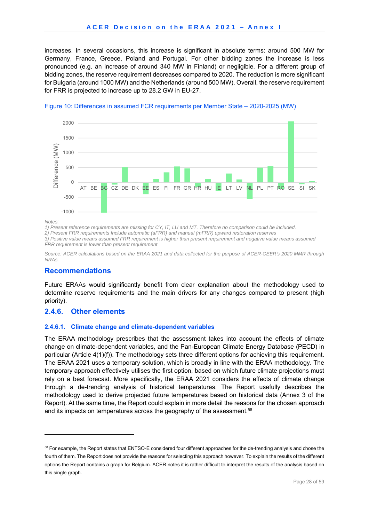increases. In several occasions, this increase is significant in absolute terms: around 500 MW for Germany, France, Greece, Poland and Portugal. For other bidding zones the increase is less pronounced (e.g. an increase of around 340 MW in Finland) or negligible. For a different group of bidding zones, the reserve requirement decreases compared to 2020. The reduction is more significant for Bulgaria (around 1000 MW) and the Netherlands (around 500 MW). Overall, the reserve requirement for FRR is projected to increase up to 28.2 GW in EU-27.





*Notes:* 

-

*1) Present reference requirements are missing for CY, IT, LU and MT. Therefore no comparison could be included.* 

*2) Present FRR requirements Include automatic (aFRR) and manual (mFRR) upward restoration reserves* 

*3) Positive value means assumed FRR requirement is higher than present requirement and negative value means assumed FRR requirement is lower than present requirement* 

*Source: ACER calculations based on the ERAA 2021 and data collected for the purpose of ACER-CEER's 2020 MMR through NRAs.* 

#### **Recommendations**

Future ERAAs would significantly benefit from clear explanation about the methodology used to determine reserve requirements and the main drivers for any changes compared to present (high priority).

#### **2.4.6. Other elements**

#### **2.4.6.1. Climate change and climate-dependent variables**

The ERAA methodology prescribes that the assessment takes into account the effects of climate change on climate-dependent variables, and the Pan-European Climate Energy Database (PECD) in particular (Article 4(1)(f)). The methodology sets three different options for achieving this requirement. The ERAA 2021 uses a temporary solution, which is broadly in line with the ERAA methodology. The temporary approach effectively utilises the first option, based on which future climate projections must rely on a best forecast. More specifically, the ERAA 2021 considers the effects of climate change through a de-trending analysis of historical temperatures. The Report usefully describes the methodology used to derive projected future temperatures based on historical data (Annex 3 of the Report). At the same time, the Report could explain in more detail the reasons for the chosen approach and its impacts on temperatures across the geography of the assessment.<sup>58</sup>

<sup>&</sup>lt;sup>58</sup> For example, the Report states that ENTSO-E considered four different approaches for the de-trending analysis and chose the fourth of them. The Report does not provide the reasons for selecting this approach however. To explain the results of the different options the Report contains a graph for Belgium. ACER notes it is rather difficult to interpret the results of the analysis based on this single graph.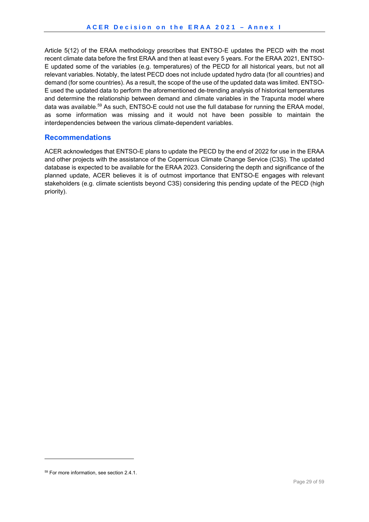Article 5(12) of the ERAA methodology prescribes that ENTSO-E updates the PECD with the most recent climate data before the first ERAA and then at least every 5 years. For the ERAA 2021, ENTSO-E updated some of the variables (e.g. temperatures) of the PECD for all historical years, but not all relevant variables. Notably, the latest PECD does not include updated hydro data (for all countries) and demand (for some countries). As a result, the scope of the use of the updated data was limited. ENTSO-E used the updated data to perform the aforementioned de-trending analysis of historical temperatures and determine the relationship between demand and climate variables in the Trapunta model where data was available.<sup>59</sup> As such, ENTSO-E could not use the full database for running the ERAA model, as some information was missing and it would not have been possible to maintain the interdependencies between the various climate-dependent variables.

#### **Recommendations**

ACER acknowledges that ENTSO-E plans to update the PECD by the end of 2022 for use in the ERAA and other projects with the assistance of the Copernicus Climate Change Service (C3S). The updated database is expected to be available for the ERAA 2023. Considering the depth and significance of the planned update, ACER believes it is of outmost importance that ENTSO-E engages with relevant stakeholders (e.g. climate scientists beyond C3S) considering this pending update of the PECD (high priority).

-

<sup>59</sup> For more information, see section 2.4.1.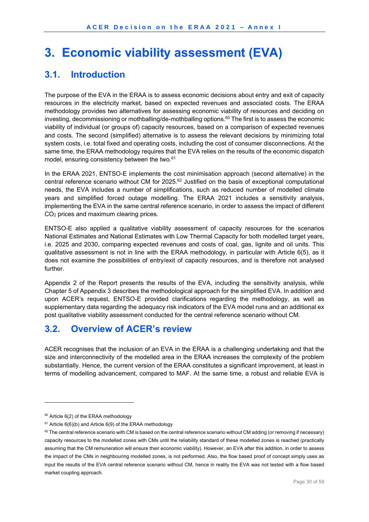# **3. Economic viability assessment (EVA)**

## **3.1. Introduction**

The purpose of the EVA in the ERAA is to assess economic decisions about entry and exit of capacity resources in the electricity market, based on expected revenues and associated costs. The ERAA methodology provides two alternatives for assessing economic viability of resources and deciding on investing, decommissioning or mothballing/de-mothballing options.<sup>60</sup> The first is to assess the economic viability of individual (or groups of) capacity resources, based on a comparison of expected revenues and costs. The second (simplified) alternative is to assess the relevant decisions by minimizing total system costs, i.e. total fixed and operating costs, including the cost of consumer disconnections. At the same time, the ERAA methodology requires that the EVA relies on the results of the economic dispatch model, ensuring consistency between the two.<sup>61</sup>

In the ERAA 2021, ENTSO-E implements the cost minimisation approach (second alternative) in the central reference scenario without CM for 2025.<sup>62</sup> Justified on the basis of exceptional computational needs, the EVA includes a number of simplifications, such as reduced number of modelled climate years and simplified forced outage modelling. The ERAA 2021 includes a sensitivity analysis, implementing the EVA in the same central reference scenario, in order to assess the impact of different CO2 prices and maximum clearing prices.

ENTSO-E also applied a qualitative viability assessment of capacity resources for the scenarios National Estimates and National Estimates with Low Thermal Capacity for both modelled target years, i.e. 2025 and 2030, comparing expected revenues and costs of coal, gas, lignite and oil units. This qualitative assessment is not in line with the ERAA methodology, in particular with Article 6(5), as it does not examine the possibilities of entry/exit of capacity resources, and is therefore not analysed further.

Appendix 2 of the Report presents the results of the EVA, including the sensitivity analysis, while Chapter 5 of Appendix 3 describes the methodological approach for the simplified EVA. In addition and upon ACER's request, ENTSO-E provided clarifications regarding the methodology, as well as supplementary data regarding the adequacy risk indicators of the EVA model runs and an additional ex post qualitative viability assessment conducted for the central reference scenario without CM.

## **3.2. Overview of ACER's review**

ACER recognises that the inclusion of an EVA in the ERAA is a challenging undertaking and that the size and interconnectivity of the modelled area in the ERAA increases the complexity of the problem substantially. Hence, the current version of the ERAA constitutes a significant improvement, at least in terms of modelling advancement, compared to MAF. At the same time, a robust and reliable EVA is

 $60$  Article 6(2) of the ERAA methodology

 $61$  Article 6(6)(b) and Article 6(9) of the ERAA methodology

 $62$  The central reference scenario with CM is based on the central reference scenario without CM adding (or removing if necessary) capacity resources to the modelled zones with CMs until the reliability standard of these modelled zones is reached (practically assuming that the CM remuneration will ensure their economic viability). However, an EVA after this addition, in order to assess the impact of the CMs in neighbouring modelled zones, is not performed. Also, the flow based proof of concept simply uses as input the results of the EVA central reference scenario without CM, hence in reality the EVA was not tested with a flow based market coupling approach.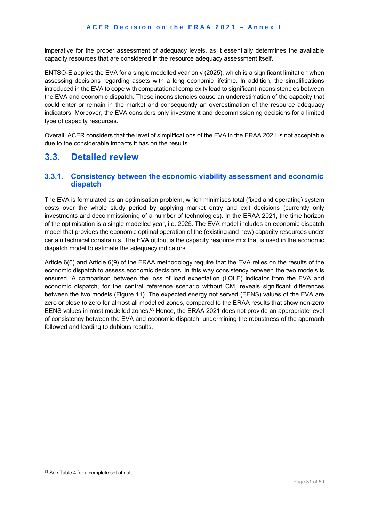imperative for the proper assessment of adequacy levels, as it essentially determines the available capacity resources that are considered in the resource adequacy assessment itself.

ENTSO-E applies the EVA for a single modelled year only (2025), which is a significant limitation when assessing decisions regarding assets with a long economic lifetime. In addition, the simplifications introduced in the EVA to cope with computational complexity lead to significant inconsistencies between the EVA and economic dispatch. These inconsistencies cause an underestimation of the capacity that could enter or remain in the market and consequently an overestimation of the resource adequacy indicators. Moreover, the EVA considers only investment and decommissioning decisions for a limited type of capacity resources.

Overall, ACER considers that the level of simplifications of the EVA in the ERAA 2021 is not acceptable due to the considerable impacts it has on the results.

## **3.3. Detailed review**

#### **3.3.1. Consistency between the economic viability assessment and economic dispatch**

The EVA is formulated as an optimisation problem, which minimises total (fixed and operating) system costs over the whole study period by applying market entry and exit decisions (currently only investments and decommissioning of a number of technologies). In the ERAA 2021, the time horizon of the optimisation is a single modelled year, i.e. 2025. The EVA model includes an economic dispatch model that provides the economic optimal operation of the (existing and new) capacity resources under certain technical constraints. The EVA output is the capacity resource mix that is used in the economic dispatch model to estimate the adequacy indicators.

Article 6(6) and Article 6(9) of the ERAA methodology require that the EVA relies on the results of the economic dispatch to assess economic decisions. In this way consistency between the two models is ensured. A comparison between the loss of load expectation (LOLE) indicator from the EVA and economic dispatch, for the central reference scenario without CM, reveals significant differences between the two models (Figure 11). The expected energy not served (EENS) values of the EVA are zero or close to zero for almost all modelled zones, compared to the ERAA results that show non-zero EENS values in most modelled zones.<sup>63</sup> Hence, the ERAA 2021 does not provide an appropriate level of consistency between the EVA and economic dispatch, undermining the robustness of the approach followed and leading to dubious results.

<sup>63</sup> See Table 4 for a complete set of data.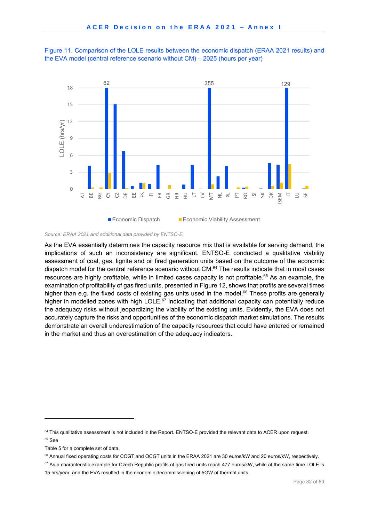





As the EVA essentially determines the capacity resource mix that is available for serving demand, the implications of such an inconsistency are significant. ENTSO-E conducted a qualitative viability assessment of coal, gas, lignite and oil fired generation units based on the outcome of the economic dispatch model for the central reference scenario without CM.64 The results indicate that in most cases resources are highly profitable, while in limited cases capacity is not profitable.<sup>65</sup> As an example, the examination of profitability of gas fired units, presented in Figure 12, shows that profits are several times higher than e.g. the fixed costs of existing gas units used in the model.<sup>66</sup> These profits are generally higher in modelled zones with high LOLE, $67$  indicating that additional capacity can potentially reduce the adequacy risks without jeopardizing the viability of the existing units. Evidently, the EVA does not accurately capture the risks and opportunities of the economic dispatch market simulations. The results demonstrate an overall underestimation of the capacity resources that could have entered or remained in the market and thus an overestimation of the adequacy indicators.

<sup>&</sup>lt;sup>64</sup> This qualitative assessment is not included in the Report. ENTSO-E provided the relevant data to ACER upon request.  $65$  See

Table 5 for a complete set of data.

<sup>66</sup> Annual fixed operating costs for CCGT and OCGT units in the ERAA 2021 are 30 euros/kW and 20 euros/kW, respectively.

<sup>&</sup>lt;sup>67</sup> As a characteristic example for Czech Republic profits of gas fired units reach 477 euros/kW, while at the same time LOLE is 15 hrs/year, and the EVA resulted in the economic decommissioning of 5GW of thermal units.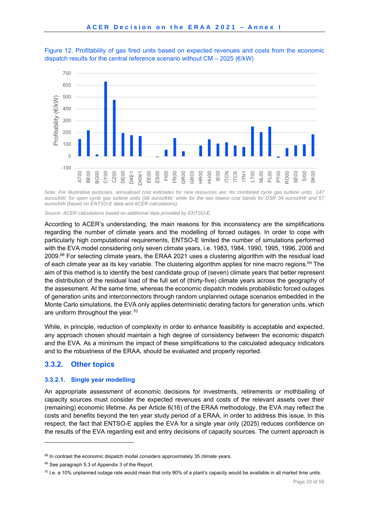

Figure 12. Profitability of gas fired units based on expected revenues and costs from the economic dispatch results for the central reference scenario without  $CM - 2025$  ( $\in$ /kW)

*Note: For illustrative purposes, annualised cost estimates for new resources are: for combined cycle gas turbine units 147 euros/kW, for open cycle gas turbine units (98 euros/kW, while for the two lowest cost bands for DSR 34 euros/kW and 57 euros/kW (based on ENTSO-E data and ACER calculations).* 

*Source: ACER calculations based on additional data provided by ENTSO-E.* 

According to ACER's understanding, the main reasons for this inconsistency are the simplifications regarding the number of climate years and the modelling of forced outages. In order to cope with particularly high computational requirements, ENTSO-E limited the number of simulations performed with the EVA model considering only seven climate years, i.e. 1983, 1984, 1990, 1995, 1996, 2006 and 2009.68 For selecting climate years, the ERAA 2021 uses a clustering algorithm with the residual load of each climate year as its key variable. The clustering algorithm applies for nine macro regions.<sup>69</sup> The aim of this method is to identify the best candidate group of (seven) climate years that better represent the distribution of the residual load of the full set of (thirty-five) climate years across the geography of the assessment. At the same time, whereas the economic dispatch models probabilistic forced outages of generation units and interconnectors through random unplanned outage scenarios embedded in the Monte Carlo simulations, the EVA only applies deterministic derating factors for generation units, which are uniform throughout the year.<sup>70</sup>

While, in principle, reduction of complexity in order to enhance feasibility is acceptable and expected, any approach chosen should maintain a high degree of consistency between the economic dispatch and the EVA. As a minimum the impact of these simplifications to the calculated adequacy indicators and to the robustness of the ERAA, should be evaluated and properly reported.

#### **3.3.2. Other topics**

1

#### **3.3.2.1. Single year modelling**

An appropriate assessment of economic decisions for investments, retirements or mothballing of capacity sources must consider the expected revenues and costs of the relevant assets over their (remaining) economic lifetime. As per Article 6(16) of the ERAA methodology, the EVA may reflect the costs and benefits beyond the ten year study period of a ERAA, in order to address this issue. In this respect, the fact that ENTSO-E applies the EVA for a single year only (2025) reduces confidence on the results of the EVA regarding exit and entry decisions of capacity sources. The current approach is

 $68$  In contrast the economic dispatch model considers approximately 35 climate years.

<sup>69</sup> See paragraph 5.3 of Appendix 3 of the Report.

 $70$  I.e. a 10% unplanned outage rate would mean that only 90% of a plant's capacity would be available in all market time units.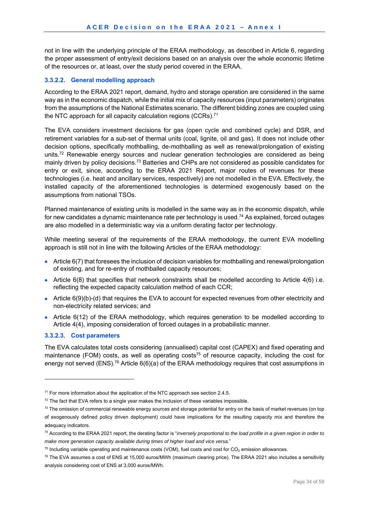not in line with the underlying principle of the ERAA methodology, as described in Article 6, regarding the proper assessment of entry/exit decisions based on an analysis over the whole economic lifetime of the resources or, at least, over the study period covered in the ERAA.

#### **3.3.2.2. General modelling approach**

According to the ERAA 2021 report, demand, hydro and storage operation are considered in the same way as in the economic dispatch, while the initial mix of capacity resources (input parameters) originates from the assumptions of the National Estimates scenario. The different bidding zones are coupled using the NTC approach for all capacity calculation regions (CCRs).<sup>71</sup>

The EVA considers investment decisions for gas (open cycle and combined cycle) and DSR, and retirement variables for a sub-set of thermal units (coal, lignite, oil and gas). It does not include other decision options, specifically mothballing, de-mothballing as well as renewal/prolongation of existing units.<sup>72</sup> Renewable energy sources and nuclear generation technologies are considered as being mainly driven by policy decisions.73 Batteries and CHPs are not considered as possible candidates for entry or exit, since, according to the ERAA 2021 Report, major routes of revenues for these technologies (i.e. heat and ancillary services, respectively) are not modelled in the EVA. Effectively, the installed capacity of the aforementioned technologies is determined exogenously based on the assumptions from national TSOs.

Planned maintenance of existing units is modelled in the same way as in the economic dispatch, while for new candidates a dynamic maintenance rate per technology is used.<sup>74</sup> As explained, forced outages are also modelled in a deterministic way via a uniform derating factor per technology.

While meeting several of the requirements of the ERAA methodology, the current EVA modelling approach is still not in line with the following Articles of the ERAA methodology:

- Article 6(7) that foresees the inclusion of decision variables for mothballing and renewal/prolongation of existing, and for re-entry of mothballed capacity resources;
- Article  $6(8)$  that specifies that network constraints shall be modelled according to Article  $4(6)$  i.e. reflecting the expected capacity calculation method of each CCR;
- Article 6(9)(b)-(d) that requires the EVA to account for expected revenues from other electricity and non-electricity related services; and
- Article 6(12) of the ERAA methodology, which requires generation to be modelled according to Article 4(4), imposing consideration of forced outages in a probabilistic manner.

#### **3.3.2.3. Cost parameters**

1

The EVA calculates total costs considering (annualised) capital cost (CAPEX) and fixed operating and maintenance (FOM) costs, as well as operating costs<sup>75</sup> of resource capacity, including the cost for energy not served (ENS).<sup>76</sup> Article 6(6)(a) of the ERAA methodology requires that cost assumptions in

 $71$  For more information about the application of the NTC approach see section 2.4.5.

 $72$  The fact that EVA refers to a single year makes the inclusion of these variables impossible.

 $73$  The omission of commercial renewable energy sources and storage potential for entry on the basis of market revenues (on top of exogenously defined policy driven deployment) could have implications for the resulting capacity mix and therefore the adequacy indicators.

<sup>74</sup> According to the ERAA 2021 report, the derating factor is "*inversely proportional to the load profile in a given region in order to make more generation capacity available during times of higher load and vice versa*."

 $75$  Including variable operating and maintenance costs (VOM), fuel costs and cost for  $CO<sub>2</sub>$  emission allowances.

 $76$  The EVA assumes a cost of ENS at 15,000 euros/MWh (maximum clearing price). The ERAA 2021 also includes a sensitivity analysis considering cost of ENS at 3,000 euros/MWh.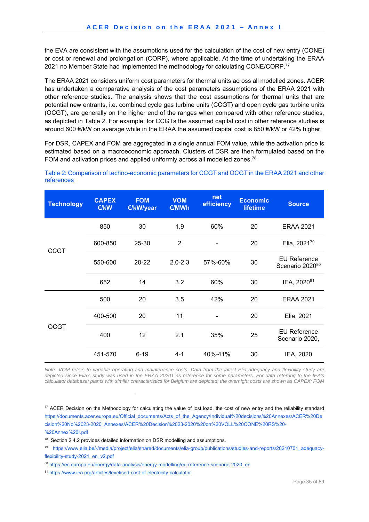the EVA are consistent with the assumptions used for the calculation of the cost of new entry (CONE) or cost or renewal and prolongation (CORP), where applicable. At the time of undertaking the ERAA 2021 no Member State had implemented the methodology for calculating CONE/CORP.77

The ERAA 2021 considers uniform cost parameters for thermal units across all modelled zones. ACER has undertaken a comparative analysis of the cost parameters assumptions of the ERAA 2021 with other reference studies. The analysis shows that the cost assumptions for thermal units that are potential new entrants, i.e. combined cycle gas turbine units (CCGT) and open cycle gas turbine units (OCGT), are generally on the higher end of the ranges when compared with other reference studies, as depicted in Table *2*. For example, for CCGTs the assumed capital cost in other reference studies is around 600 €/kW on average while in the ERAA the assumed capital cost is 850 €/kW or 42% higher.

For DSR, CAPEX and FOM are aggregated in a single annual FOM value, while the activation price is estimated based on a macroeconomic approach. Clusters of DSR are then formulated based on the FOM and activation prices and applied uniformly across all modelled zones.<sup>78</sup>

| <b>Technology</b> | <b>CAPEX</b><br>€/kW | <b>FOM</b><br>€/kW/year | <b>VOM</b><br>€/MWh | net<br>efficiency | <b>Economic</b><br><b>lifetime</b> | <b>Source</b>                          |
|-------------------|----------------------|-------------------------|---------------------|-------------------|------------------------------------|----------------------------------------|
|                   | 850                  | 30                      | 1.9                 | 60%               | 20                                 | <b>ERAA 2021</b>                       |
| <b>CCGT</b>       | 600-850              | 25-30                   | $\overline{2}$      |                   | 20                                 | Elia, 202179                           |
|                   | 550-600              | 20-22                   | $2.0 - 2.3$         | 57%-60%           | 30                                 | <b>EU Reference</b><br>Scenario 202080 |
|                   | 652                  | 14                      | 3.2                 | 60%               | 30                                 | IEA, 202081                            |
|                   | 500                  | 20                      | 3.5                 | 42%               | 20                                 | <b>ERAA 2021</b>                       |
|                   | 400-500              | 20                      | 11                  |                   | 20                                 | Elia, 2021                             |
| <b>OCGT</b>       | 400                  | 12                      | 2.1                 | 35%               | 25                                 | <b>EU Reference</b><br>Scenario 2020,  |
|                   | 451-570              | $6 - 19$                | $4 - 1$             | 40%-41%           | 30                                 | IEA, 2020                              |

Table 2: Comparison of techno-economic parameters for CCGT and OCGT in the ERAA 2021 and other references

*Note: VOM refers to variable operating and maintenance costs. Data from the latest Elia adequacy and flexibility study are depicted since Elia's study was used in the ERAA 20201 as reference for some parameters. For data referring to the IEA's calculator database: plants with similar characteristics for Belgium are depicted; the overnight costs are shown as CAPEX; FOM* 

 $77$  ACER Decision on the Methodology for calculating the value of lost load, the cost of new entry and the reliability standard https://documents.acer.europa.eu/Official\_documents/Acts\_of\_the\_Agency/Individual%20decisions%20Annexes/ACER%20De cision%20No%2023-2020\_Annexes/ACER%20Decision%2023-2020%20on%20VOLL%20CONE%20RS%20- %20Annex%20I.pdf

<sup>78</sup> Section 2.4.2 provides detailed information on DSR modelling and assumptions.

<sup>79</sup> https://www.elia.be/-/media/project/elia/shared/documents/elia-group/publications/studies-and-reports/20210701\_adequacyflexibility-study-2021\_en\_v2.pdf

<sup>80</sup> https://ec.europa.eu/energy/data-analysis/energy-modelling/eu-reference-scenario-2020 en

<sup>81</sup> https://www.iea.org/articles/levelised-cost-of-electricity-calculator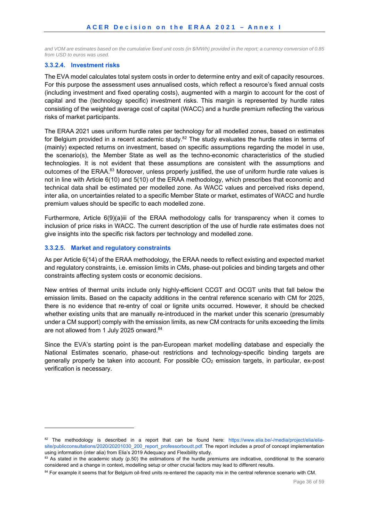*and VOM are estimates based on the cumulative fixed unit costs (in \$/MWh) provided in the report; a currency conversion of 0.85 from USD to euros was used.* 

#### **3.3.2.4. Investment risks**

The EVA model calculates total system costs in order to determine entry and exit of capacity resources. For this purpose the assessment uses annualised costs, which reflect a resource's fixed annual costs (including investment and fixed operating costs), augmented with a margin to account for the cost of capital and the (technology specific) investment risks. This margin is represented by hurdle rates consisting of the weighted average cost of capital (WACC) and a hurdle premium reflecting the various risks of market participants.

The ERAA 2021 uses uniform hurdle rates per technology for all modelled zones, based on estimates for Belgium provided in a recent academic study.<sup>82</sup> The study evaluates the hurdle rates in terms of (mainly) expected returns on investment, based on specific assumptions regarding the model in use, the scenario(s), the Member State as well as the techno-economic characteristics of the studied technologies. It is not evident that these assumptions are consistent with the assumptions and outcomes of the ERAA.<sup>83</sup> Moreover, unless properly justified, the use of uniform hurdle rate values is not in line with Article 6(10) and 5(10) of the ERAA methodology, which prescribes that economic and technical data shall be estimated per modelled zone. As WACC values and perceived risks depend, inter alia, on uncertainties related to a specific Member State or market, estimates of WACC and hurdle premium values should be specific to each modelled zone.

Furthermore, Article 6(9)(a)iii of the ERAA methodology calls for transparency when it comes to inclusion of price risks in WACC. The current description of the use of hurdle rate estimates does not give insights into the specific risk factors per technology and modelled zone.

#### **3.3.2.5. Market and regulatory constraints**

1

As per Article 6(14) of the ERAA methodology, the ERAA needs to reflect existing and expected market and regulatory constraints, i.e. emission limits in CMs, phase-out policies and binding targets and other constraints affecting system costs or economic decisions.

New entries of thermal units include only highly-efficient CCGT and OCGT units that fall below the emission limits. Based on the capacity additions in the central reference scenario with CM for 2025, there is no evidence that re-entry of coal or lignite units occurred. However, it should be checked whether existing units that are manually re-introduced in the market under this scenario (presumably under a CM support) comply with the emission limits, as new CM contracts for units exceeding the limits are not allowed from 1 July 2025 onward.<sup>84</sup>

Since the EVA's starting point is the pan-European market modelling database and especially the National Estimates scenario, phase-out restrictions and technology-specific binding targets are generally properly be taken into account. For possible CO<sub>2</sub> emission targets, in particular, ex-post verification is necessary.

<sup>82</sup> The methodology is described in a report that can be found here: https://www.elia.be/-/media/project/elia/eliasite/publicconsultations/2020/20201030\_200\_report\_professorboudt.pdf. The report includes a proof of concept implementation using information (inter alia) from Elia's 2019 Adequacy and Flexibility study.

 $83$  As stated in the academic study (p.50) the estimations of the hurdle premiums are indicative, conditional to the scenario considered and a change in context, modelling setup or other crucial factors may lead to different results.

<sup>84</sup> For example it seems that for Belgium oil-fired units re-entered the capacity mix in the central reference scenario with CM.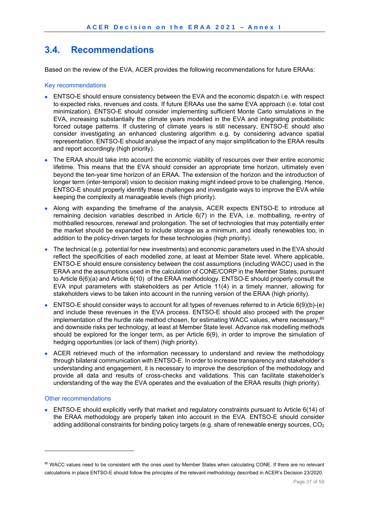## **3.4. Recommendations**

Based on the review of the EVA, ACER provides the following recommendations for future ERAAs:

#### Key recommendations

- ENTSO-E should ensure consistency between the EVA and the economic dispatch i.e. with respect to expected risks, revenues and costs. If future ERAAs use the same EVA approach (i.e. total cost minimization), ENTSO-E should consider implementing sufficient Monte Carlo simulations in the EVA, increasing substantially the climate years modelled in the EVA and integrating probabilistic forced outage patterns. If clustering of climate years is still necessary, ENTSO-E should also consider investigating an enhanced clustering algorithm e.g. by considering advance spatial representation. ENTSO-E should analyse the impact of any major simplification to the ERAA results and report accordingly (high priority).
- The ERAA should take into account the economic viability of resources over their entire economic lifetime. This means that the EVA should consider an appropriate time horizon, ultimately even beyond the ten-year time horizon of an ERAA. The extension of the horizon and the introduction of longer term (inter-temporal) vision to decision making might indeed prove to be challenging. Hence, ENTSO-E should properly identify these challenges and investigate ways to improve the EVA while keeping the complexity at manageable levels (high priority).
- Along with expanding the timeframe of the analysis, ACER expects ENTSO-E to introduce all remaining decision variables described in Article 6(7) in the EVA, i.e. mothballing, re-entry of mothballed resources, renewal and prolongation. The set of technologies that may potentially enter the market should be expanded to include storage as a minimum, and ideally renewables too, in addition to the policy-driven targets for these technologies (high priority).
- The technical (e.g. potential for new investments) and economic parameters used in the EVA should reflect the specificities of each modelled zone, at least at Member State level. Where applicable, ENTSO-E should ensure consistency between the cost assumptions (including WACC) used in the ERAA and the assumptions used in the calculation of CONE/CORP in the Member States, pursuant to Article 6(6)(a) and Article 6(10) of the ERAA methodology. ENTSO-E should properly consult the EVA input parameters with stakeholders as per Article 11(4) in a timely manner, allowing for stakeholders views to be taken into account in the running version of the ERAA (high priority).
- ENTSO-E should consider ways to account for all types of revenues referred to in Article 6(9)(b)-(e) and include these revenues in the EVA process. ENTSO-E should also proceed with the proper implementation of the hurdle rate method chosen, for estimating WACC values, where necessary,<sup>85</sup> and downside risks per technology, at least at Member State level. Advance risk modelling methods should be explored for the longer term, as per Article 6(9), in order to improve the simulation of hedging opportunities (or lack of them) (high priority).
- ACER retrieved much of the information necessary to understand and review the methodology through bilateral communication with ENTSO-E. In order to increase transparency and stakeholder's understanding and engagement, it is necessary to improve the description of the methodology and provide all data and results of cross-checks and validations. This can facilitate stakeholder's understanding of the way the EVA operates and the evaluation of the ERAA results (high priority).

#### Other recommendations

1

 ENTSO-E should explicitly verify that market and regulatory constraints pursuant to Article 6(14) of the ERAA methodology are properly taken into account in the EVA. ENTSO-E should consider adding additional constraints for binding policy targets (e.g. share of renewable energy sources,  $CO<sub>2</sub>$ 

<sup>85</sup> WACC values need to be consistent with the ones used by Member States when calculating CONE. If there are no relevant calculations in place ENTSO-E should follow the principles of the relevant methodology described in ACER's Decision 23/2020.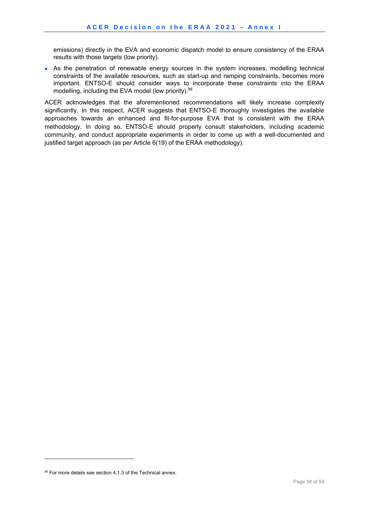emissions) directly in the EVA and economic dispatch model to ensure consistency of the ERAA results with those targets (low priority).

 As the penetration of renewable energy sources in the system increases, modelling technical constraints of the available resources, such as start-up and ramping constraints, becomes more important. ENTSO-E should consider ways to incorporate these constraints into the ERAA modelling, including the EVA model (low priority).<sup>86</sup>

ACER acknowledges that the aforementioned recommendations will likely increase complexity significantly. In this respect, ACER suggests that ENTSO-E thoroughly investigates the available approaches towards an enhanced and fit-for-purpose EVA that is consistent with the ERAA methodology. In doing so, ENTSO-E should properly consult stakeholders, including academic community, and conduct appropriate experiments in order to come up with a well-documented and justified target approach (as per Article 6(19) of the ERAA methodology).

-

<sup>86</sup> For more details see section 4.1.3 of the Technical annex.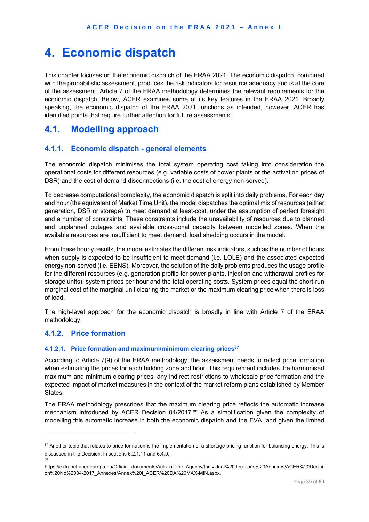## **4. Economic dispatch**

This chapter focuses on the economic dispatch of the ERAA 2021. The economic dispatch, combined with the probabilistic assessment, produces the risk indicators for resource adequacy and is at the core of the assessment. Article 7 of the ERAA methodology determines the relevant requirements for the economic dispatch. Below, ACER examines some of its key features in the ERAA 2021. Broadly speaking, the economic dispatch of the ERAA 2021 functions as intended, however, ACER has identified points that require further attention for future assessments.

## **4.1. Modelling approach**

### **4.1.1. Economic dispatch - general elements**

The economic dispatch minimises the total system operating cost taking into consideration the operational costs for different resources (e.g. variable costs of power plants or the activation prices of DSR) and the cost of demand disconnections (i.e. the cost of energy non-served).

To decrease computational complexity, the economic dispatch is split into daily problems. For each day and hour (the equivalent of Market Time Unit), the model dispatches the optimal mix of resources (either generation, DSR or storage) to meet demand at least-cost, under the assumption of perfect foresight and a number of constraints. These constraints include the unavailability of resources due to planned and unplanned outages and available cross-zonal capacity between modelled zones. When the available resources are insufficient to meet demand, load shedding occurs in the model.

From these hourly results, the model estimates the different risk indicators, such as the number of hours when supply is expected to be insufficient to meet demand (i.e. LOLE) and the associated expected energy non-served (i.e. EENS). Moreover, the solution of the daily problems produces the usage profile for the different resources (e.g. generation profile for power plants, injection and withdrawal profiles for storage units), system prices per hour and the total operating costs. System prices equal the short-run marginal cost of the marginal unit clearing the market or the maximum clearing price when there is loss of load.

The high-level approach for the economic dispatch is broadly in line with Article 7 of the ERAA methodology.

### **4.1.2. Price formation**

1

88

#### **4.1.2.1. Price formation and maximum/minimum clearing prices87**

According to Article 7(9) of the ERAA methodology, the assessment needs to reflect price formation when estimating the prices for each bidding zone and hour. This requirement includes the harmonised maximum and minimum clearing prices, any indirect restrictions to wholesale price formation and the expected impact of market measures in the context of the market reform plans established by Member States.

The ERAA methodology prescribes that the maximum clearing price reflects the automatic increase mechanism introduced by ACER Decision 04/2017.88 As a simplification given the complexity of modelling this automatic increase in both the economic dispatch and the EVA, and given the limited

<sup>&</sup>lt;sup>87</sup> Another topic that relates to price formation is the implementation of a shortage pricing function for balancing energy. This is discussed in the Decision, in sections 6.2.1.11 and 6.4.9.

https://extranet.acer.europa.eu/Official\_documents/Acts\_of\_the\_Agency/Individual%20decisions%20Annexes/ACER%20Decisi on%20No%2004-2017\_Annexes/Annex%20I\_ACER%20DA%20MAX-MIN.aspx.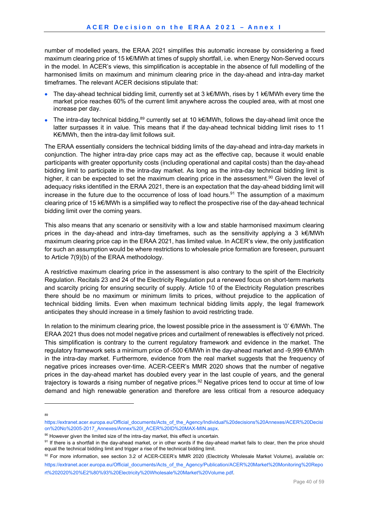number of modelled years, the ERAA 2021 simplifies this automatic increase by considering a fixed maximum clearing price of 15 k€/MWh at times of supply shortfall, i.e. when Energy Non-Served occurs in the model. In ACER's views, this simplification is acceptable in the absence of full modelling of the harmonised limits on maximum and minimum clearing price in the day-ahead and intra-day market timeframes. The relevant ACER decisions stipulate that:

- The day-ahead technical bidding limit, currently set at 3 k€/MWh, rises by 1 k€/MWh every time the market price reaches 60% of the current limit anywhere across the coupled area, with at most one increase per day.
- The intra-day technical bidding,<sup>89</sup> currently set at 10 k€/MWh, follows the day-ahead limit once the latter surpasses it in value. This means that if the day-ahead technical bidding limit rises to 11 K€/MWh, then the intra-day limit follows suit.

The ERAA essentially considers the technical bidding limits of the day-ahead and intra-day markets in conjunction. The higher intra-day price caps may act as the effective cap, because it would enable participants with greater opportunity costs (including operational and capital costs) than the day-ahead bidding limit to participate in the intra-day market. As long as the intra-day technical bidding limit is higher, it can be expected to set the maximum clearing price in the assessment.<sup>90</sup> Given the level of adequacy risks identified in the ERAA 2021, there is an expectation that the day-ahead bidding limit will increase in the future due to the occurrence of loss of load hours.<sup>91</sup> The assumption of a maximum clearing price of 15 k€/MWh is a simplified way to reflect the prospective rise of the day-ahead technical bidding limit over the coming years.

This also means that any scenario or sensitivity with a low and stable harmonised maximum clearing prices in the day-ahead and intra-day timeframes, such as the sensitivity applying a 3 k€/MWh maximum clearing price cap in the ERAA 2021, has limited value. In ACER's view, the only justification for such an assumption would be where restrictions to wholesale price formation are foreseen, pursuant to Article 7(9)(b) of the ERAA methodology.

A restrictive maximum clearing price in the assessment is also contrary to the spirit of the Electricity Regulation. Recitals 23 and 24 of the Electricity Regulation put a renewed focus on short-term markets and scarcity pricing for ensuring security of supply. Article 10 of the Electricity Regulation prescribes there should be no maximum or minimum limits to prices, without prejudice to the application of technical bidding limits. Even when maximum technical bidding limits apply, the legal framework anticipates they should increase in a timely fashion to avoid restricting trade.

In relation to the minimum clearing price, the lowest possible price in the assessment is '0'  $\epsilon$ /MWh. The ERAA 2021 thus does not model negative prices and curtailment of renewables is effectively not priced. This simplification is contrary to the current regulatory framework and evidence in the market. The regulatory framework sets a minimum price of -500 €/MWh in the day-ahead market and -9,999 €/MWh in the intra-day market. Furthermore, evidence from the real market suggests that the frequency of negative prices increases over-time. ACER-CEER's MMR 2020 shows that the number of negative prices in the day-ahead market has doubled every year in the last couple of years, and the general trajectory is towards a rising number of negative prices.<sup>92</sup> Negative prices tend to occur at time of low demand and high renewable generation and therefore are less critical from a resource adequacy

<sup>1</sup> 89

https://extranet.acer.europa.eu/Official\_documents/Acts\_of\_the\_Agency/Individual%20decisions%20Annexes/ACER%20Decisi on%20No%2005-2017\_Annexes/Annex%20I\_ACER%20ID%20MAX-MIN.aspx.

 $90$  However given the limited size of the intra-day market, this effect is uncertain.<br><sup>91</sup> If there is a shortfall in the day-ahead market, or in other words if the day-ahead market fails to clear, then the price should equal the technical bidding limit and trigger a rise of the technical bidding limit.

<sup>92</sup> For more information, see section 3.2 of ACER-CEER's MMR 2020 (Electricity Wholesale Market Volume), available on: https://extranet.acer.europa.eu/Official\_documents/Acts\_of\_the\_Agency/Publication/ACER%20Market%20Monitoring%20Repo rt%202020%20%E2%80%93%20Electricity%20Wholesale%20Market%20Volume.pdf.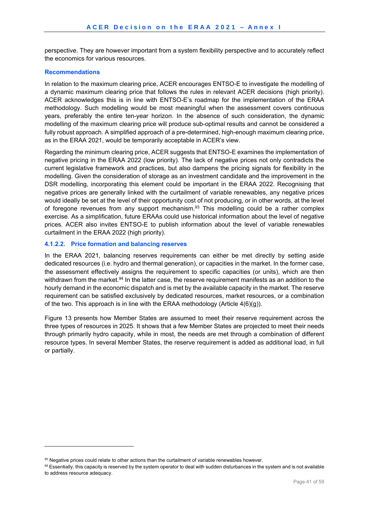perspective. They are however important from a system flexibility perspective and to accurately reflect the economics for various resources.

#### **Recommendations**

1

In relation to the maximum clearing price, ACER encourages ENTSO-E to investigate the modelling of a dynamic maximum clearing price that follows the rules in relevant ACER decisions (high priority). ACER acknowledges this is in line with ENTSO-E's roadmap for the implementation of the ERAA methodology. Such modelling would be most meaningful when the assessment covers continuous years, preferably the entire ten-year horizon. In the absence of such consideration, the dynamic modelling of the maximum clearing price will produce sub-optimal results and cannot be considered a fully robust approach. A simplified approach of a pre-determined, high-enough maximum clearing price, as in the ERAA 2021, would be temporarily acceptable in ACER's view.

Regarding the minimum clearing price, ACER suggests that ENTSO-E examines the implementation of negative pricing in the ERAA 2022 (low priority). The lack of negative prices not only contradicts the current legislative framework and practices, but also dampens the pricing signals for flexibility in the modelling. Given the consideration of storage as an investment candidate and the improvement in the DSR modelling, incorporating this element could be important in the ERAA 2022. Recognising that negative prices are generally linked with the curtailment of variable renewables, any negative prices would ideally be set at the level of their opportunity cost of not producing, or in other words, at the level of foregone revenues from any support mechanism.<sup>93</sup> This modelling could be a rather complex exercise. As a simplification, future ERAAs could use historical information about the level of negative prices. ACER also invites ENTSO-E to publish information about the level of variable renewables curtailment in the ERAA 2022 (high priority).

#### **4.1.2.2. Price formation and balancing reserves**

In the ERAA 2021, balancing reserves requirements can either be met directly by setting aside dedicated resources (i.e. hydro and thermal generation), or capacities in the market. In the former case, the assessment effectively assigns the requirement to specific capacities (or units), which are then withdrawn from the market.<sup>94</sup> In the latter case, the reserve requirement manifests as an addition to the hourly demand in the economic dispatch and is met by the available capacity in the market. The reserve requirement can be satisfied exclusively by dedicated resources, market resources, or a combination of the two. This approach is in line with the ERAA methodology (Article  $4(6)(q)$ ).

Figure 13 presents how Member States are assumed to meet their reserve requirement across the three types of resources in 2025. It shows that a few Member States are projected to meet their needs through primarily hydro capacity, while in most, the needs are met through a combination of different resource types. In several Member States, the reserve requirement is added as additional load, in full or partially.

<sup>&</sup>lt;sup>93</sup> Negative prices could relate to other actions than the curtailment of variable renewables however.<br><sup>94</sup> Essentially, this capacity is reserved by the system operator to deal with sudden disturbances in the system and to address resource adequacy.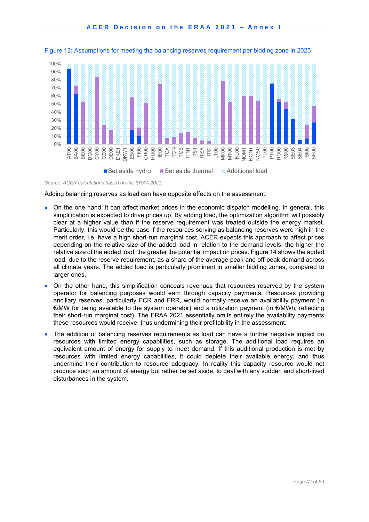

Figure 13: Assumptions for meeting the balancing reserves requirement per bidding zone in 2025

*Source: ACER calculations based on the ERAA 2021.* 

Adding balancing reserves as load can have opposite effects on the assessment:

- On the one hand, it can affect market prices in the economic dispatch modelling. In general, this simplification is expected to drive prices up. By adding load, the optimization algorithm will possibly clear at a higher value than if the reserve requirement was treated outside the energy market. Particularly, this would be the case if the resources serving as balancing reserves were high in the merit order, i.e. have a high short-run marginal cost. ACER expects this approach to affect prices depending on the relative size of the added load in relation to the demand levels; the higher the relative size of the added load, the greater the potential impact on prices. Figure 14 shows the added load, due to the reserve requirement, as a share of the average peak and off-peak demand across all climate years. The added load is particularly prominent in smaller bidding zones, compared to larger ones.
- On the other hand, this simplification conceals revenues that resources reserved by the system operator for balancing purposes would earn through capacity payments. Resources providing ancillary reserves, particularly FCR and FRR, would normally receive an availability payment (in €/MW for being available to the system operator) and a utilization payment (in €/MWh, reflecting their short-run marginal cost). The ERAA 2021 essentially omits entirely the availability payments these resources would receive, thus undermining their profitability in the assessment.
- The addition of balancing reserves requirements as load can have a further negative impact on resources with limited energy capabilities, such as storage. The additional load requires an equivalent amount of energy for supply to meet demand. If this additional production is met by resources with limited energy capabilities, it could deplete their available energy, and thus undermine their contribution to resource adequacy. In reality this capacity resource would not produce such an amount of energy but rather be set aside, to deal with any sudden and short-lived disturbances in the system.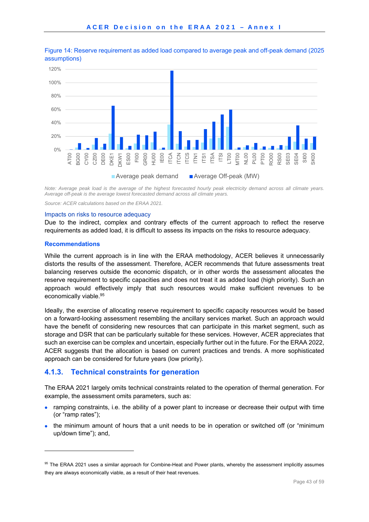

Figure 14: Reserve requirement as added load compared to average peak and off-peak demand (2025 assumptions)

*Note: Average peak load is the average of the highest forecasted hourly peak electricity demand across all climate years. Average off-peak is the average lowest forecasted demand across all climate years.* 

*Source: ACER calculations based on the ERAA 2021.* 

#### Impacts on risks to resource adequacy

Due to the indirect, complex and contrary effects of the current approach to reflect the reserve requirements as added load, it is difficult to assess its impacts on the risks to resource adequacy.

#### **Recommendations**

1

While the current approach is in line with the ERAA methodology, ACER believes it unnecessarily distorts the results of the assessment. Therefore, ACER recommends that future assessments treat balancing reserves outside the economic dispatch, or in other words the assessment allocates the reserve requirement to specific capacities and does not treat it as added load (high priority). Such an approach would effectively imply that such resources would make sufficient revenues to be economically viable.<sup>95</sup>

Ideally, the exercise of allocating reserve requirement to specific capacity resources would be based on a forward-looking assessment resembling the ancillary services market. Such an approach would have the benefit of considering new resources that can participate in this market segment, such as storage and DSR that can be particularly suitable for these services. However, ACER appreciates that such an exercise can be complex and uncertain, especially further out in the future. For the ERAA 2022, ACER suggests that the allocation is based on current practices and trends. A more sophisticated approach can be considered for future years (low priority).

#### **4.1.3. Technical constraints for generation**

The ERAA 2021 largely omits technical constraints related to the operation of thermal generation. For example, the assessment omits parameters, such as:

- ramping constraints, i.e. the ability of a power plant to increase or decrease their output with time (or "ramp rates");
- the minimum amount of hours that a unit needs to be in operation or switched off (or "minimum up/down time"); and,

<sup>95</sup> The ERAA 2021 uses a similar approach for Combine-Heat and Power plants, whereby the assessment implicitly assumes they are always economically viable, as a result of their heat revenues.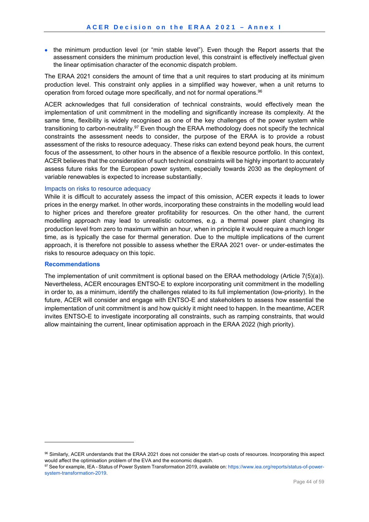• the minimum production level (or "min stable level"). Even though the Report asserts that the assessment considers the minimum production level, this constraint is effectively ineffectual given the linear optimisation character of the economic dispatch problem.

The ERAA 2021 considers the amount of time that a unit requires to start producing at its minimum production level. This constraint only applies in a simplified way however, when a unit returns to operation from forced outage more specifically, and not for normal operations.<sup>96</sup>

ACER acknowledges that full consideration of technical constraints, would effectively mean the implementation of unit commitment in the modelling and significantly increase its complexity. At the same time, flexibility is widely recognised as one of the key challenges of the power system while transitioning to carbon-neutrality.<sup>97</sup> Even though the ERAA methodology does not specify the technical constraints the assessment needs to consider, the purpose of the ERAA is to provide a robust assessment of the risks to resource adequacy. These risks can extend beyond peak hours, the current focus of the assessment, to other hours in the absence of a flexible resource portfolio. In this context, ACER believes that the consideration of such technical constraints will be highly important to accurately assess future risks for the European power system, especially towards 2030 as the deployment of variable renewables is expected to increase substantially.

#### Impacts on risks to resource adequacy

While it is difficult to accurately assess the impact of this omission, ACER expects it leads to lower prices in the energy market. In other words, incorporating these constraints in the modelling would lead to higher prices and therefore greater profitability for resources. On the other hand, the current modelling approach may lead to unrealistic outcomes, e.g. a thermal power plant changing its production level from zero to maximum within an hour, when in principle it would require a much longer time, as is typically the case for thermal generation. Due to the multiple implications of the current approach, it is therefore not possible to assess whether the ERAA 2021 over- or under-estimates the risks to resource adequacy on this topic.

#### **Recommendations**

-

The implementation of unit commitment is optional based on the ERAA methodology (Article 7(5)(a)). Nevertheless, ACER encourages ENTSO-E to explore incorporating unit commitment in the modelling in order to, as a minimum, identify the challenges related to its full implementation (low-priority). In the future, ACER will consider and engage with ENTSO-E and stakeholders to assess how essential the implementation of unit commitment is and how quickly it might need to happen. In the meantime, ACER invites ENTSO-E to investigate incorporating all constraints, such as ramping constraints, that would allow maintaining the current, linear optimisation approach in the ERAA 2022 (high priority).

<sup>96</sup> Similarly, ACER understands that the ERAA 2021 does not consider the start-up costs of resources. Incorporating this aspect would affect the optimisation problem of the EVA and the economic dispatch.<br><sup>97</sup> See for example, IEA - Status of Power System Transformation 2019, available on: https://www.iea.org/reports/status-of-power-

system-transformation-2019.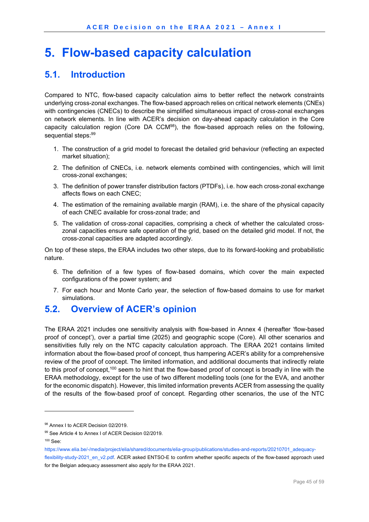## **5. Flow-based capacity calculation**

## **5.1. Introduction**

Compared to NTC, flow-based capacity calculation aims to better reflect the network constraints underlying cross-zonal exchanges. The flow-based approach relies on critical network elements (CNEs) with contingencies (CNECs) to describe the simplified simultaneous impact of cross-zonal exchanges on network elements. In line with ACER's decision on day-ahead capacity calculation in the Core capacity calculation region (Core DA  $CCM<sup>98</sup>$ ), the flow-based approach relies on the following, sequential steps: 99

- 1. The construction of a grid model to forecast the detailed grid behaviour (reflecting an expected market situation);
- 2. The definition of CNECs, i.e. network elements combined with contingencies, which will limit cross-zonal exchanges;
- 3. The definition of power transfer distribution factors (PTDFs), i.e. how each cross-zonal exchange affects flows on each CNEC;
- 4. The estimation of the remaining available margin (RAM), i.e. the share of the physical capacity of each CNEC available for cross-zonal trade; and
- 5. The validation of cross-zonal capacities, comprising a check of whether the calculated crosszonal capacities ensure safe operation of the grid, based on the detailed grid model. If not, the cross-zonal capacities are adapted accordingly.

On top of these steps, the ERAA includes two other steps, due to its forward-looking and probabilistic nature.

- 6. The definition of a few types of flow-based domains, which cover the main expected configurations of the power system; and
- 7. For each hour and Monte Carlo year, the selection of flow-based domains to use for market simulations.

## **5.2. Overview of ACER's opinion**

The ERAA 2021 includes one sensitivity analysis with flow-based in Annex 4 (hereafter 'flow-based proof of concept'), over a partial time (2025) and geographic scope (Core). All other scenarios and sensitivities fully rely on the NTC capacity calculation approach. The ERAA 2021 contains limited information about the flow-based proof of concept, thus hampering ACER's ability for a comprehensive review of the proof of concept. The limited information, and additional documents that indirectly relate to this proof of concept,<sup>100</sup> seem to hint that the flow-based proof of concept is broadly in line with the ERAA methodology, except for the use of two different modelling tools (one for the EVA, and another for the economic dispatch). However, this limited information prevents ACER from assessing the quality of the results of the flow-based proof of concept. Regarding other scenarios, the use of the NTC

-

https://www.elia.be/-/media/project/elia/shared/documents/elia-group/publications/studies-and-reports/20210701\_adequacy-

<sup>98</sup> Annex I to ACER Decision 02/2019.

<sup>99</sup> See Article 4 to Annex I of ACER Decision 02/2019.

<sup>100</sup> See:

flexibility-study-2021\_en\_v2.pdf. ACER asked ENTSO-E to confirm whether specific aspects of the flow-based approach used for the Belgian adequacy assessment also apply for the ERAA 2021.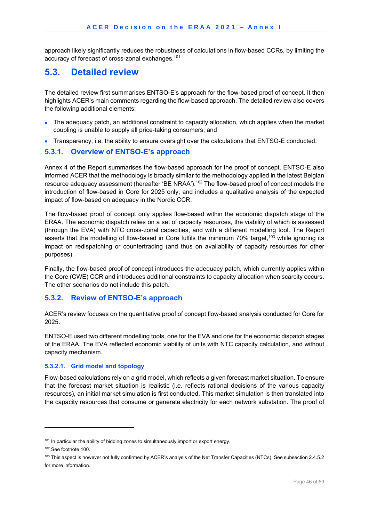approach likely significantly reduces the robustness of calculations in flow-based CCRs, by limiting the accuracy of forecast of cross-zonal exchanges.101

## **5.3. Detailed review**

The detailed review first summarises ENTSO-E's approach for the flow-based proof of concept. It then highlights ACER's main comments regarding the flow-based approach. The detailed review also covers the following additional elements:

- The adequacy patch, an additional constraint to capacity allocation, which applies when the market coupling is unable to supply all price-taking consumers; and
- Transparency, i.e. the ability to ensure oversight over the calculations that ENTSO-E conducted.

### **5.3.1. Overview of ENTSO-E's approach**

Annex 4 of the Report summarises the flow-based approach for the proof of concept. ENTSO-E also informed ACER that the methodology is broadly similar to the methodology applied in the latest Belgian resource adequacy assessment (hereafter 'BE NRAA').<sup>102</sup> The flow-based proof of concept models the introduction of flow-based in Core for 2025 only, and includes a qualitative analysis of the expected impact of flow-based on adequacy in the Nordic CCR.

The flow-based proof of concept only applies flow-based within the economic dispatch stage of the ERAA. The economic dispatch relies on a set of capacity resources, the viability of which is assessed (through the EVA) with NTC cross-zonal capacities, and with a different modelling tool. The Report asserts that the modelling of flow-based in Core fulfils the minimum 70% target,<sup>103</sup> while ignoring its impact on redispatching or countertrading (and thus on availability of capacity resources for other purposes).

Finally, the flow-based proof of concept introduces the adequacy patch, which currently applies within the Core (CWE) CCR and introduces additional constraints to capacity allocation when scarcity occurs. The other scenarios do not include this patch.

### **5.3.2. Review of ENTSO-E's approach**

ACER's review focuses on the quantitative proof of concept flow-based analysis conducted for Core for 2025.

ENTSO-E used two different modelling tools, one for the EVA and one for the economic dispatch stages of the ERAA. The EVA reflected economic viability of units with NTC capacity calculation, and without capacity mechanism.

#### **5.3.2.1. Grid model and topology**

Flow-based calculations rely on a grid model, which reflects a given forecast market situation. To ensure that the forecast market situation is realistic (i.e. reflects rational decisions of the various capacity resources), an initial market simulation is first conducted. This market simulation is then translated into the capacity resources that consume or generate electricity for each network substation. The proof of

<sup>&</sup>lt;sup>101</sup> In particular the ability of bidding zones to simultaneously import or export energy.

<sup>102</sup> See footnote 100.

<sup>103</sup> This aspect is however not fully confirmed by ACER's analysis of the Net Transfer Capacities (NTCs). See subsection 2.4.5.2 for more information.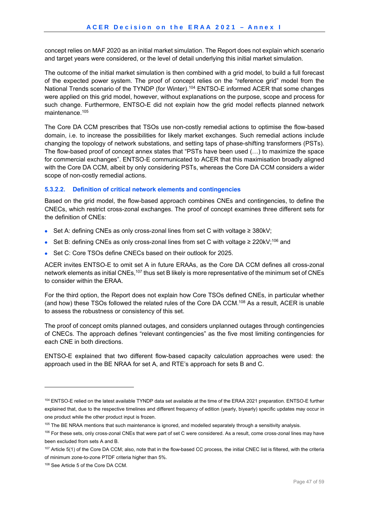concept relies on MAF 2020 as an initial market simulation. The Report does not explain which scenario and target years were considered, or the level of detail underlying this initial market simulation.

The outcome of the initial market simulation is then combined with a grid model, to build a full forecast of the expected power system. The proof of concept relies on the "reference grid" model from the National Trends scenario of the TYNDP (for Winter).<sup>104</sup> ENTSO-E informed ACER that some changes were applied on this grid model, however, without explanations on the purpose, scope and process for such change. Furthermore, ENTSO-E did not explain how the grid model reflects planned network maintenance.105

The Core DA CCM prescribes that TSOs use non-costly remedial actions to optimise the flow-based domain, i.e. to increase the possibilities for likely market exchanges. Such remedial actions include changing the topology of network substations, and setting taps of phase-shifting transformers (PSTs). The flow-based proof of concept annex states that "PSTs have been used (…) to maximize the space for commercial exchanges". ENTSO-E communicated to ACER that this maximisation broadly aligned with the Core DA CCM, albeit by only considering PSTs, whereas the Core DA CCM considers a wider scope of non-costly remedial actions.

#### **5.3.2.2. Definition of critical network elements and contingencies**

Based on the grid model, the flow-based approach combines CNEs and contingencies, to define the CNECs, which restrict cross-zonal exchanges. The proof of concept examines three different sets for the definition of CNEs:

- Set A: defining CNEs as only cross-zonal lines from set C with voltage ≥ 380kV;
- $\bullet$  Set B: defining CNEs as only cross-zonal lines from set C with voltage ≥ 220kV;<sup>106</sup> and
- Set C: Core TSOs define CNECs based on their outlook for 2025.

ACER invites ENTSO-E to omit set A in future ERAAs, as the Core DA CCM defines all cross-zonal network elements as initial CNEs,<sup>107</sup> thus set B likely is more representative of the minimum set of CNEs to consider within the ERAA.

For the third option, the Report does not explain how Core TSOs defined CNEs, in particular whether (and how) these TSOs followed the related rules of the Core DA CCM.108 As a result, ACER is unable to assess the robustness or consistency of this set.

The proof of concept omits planned outages, and considers unplanned outages through contingencies of CNECs. The approach defines "relevant contingencies" as the five most limiting contingencies for each CNE in both directions.

ENTSO-E explained that two different flow-based capacity calculation approaches were used: the approach used in the BE NRAA for set A, and RTE's approach for sets B and C.

-

<sup>104</sup> ENTSO-E relied on the latest available TYNDP data set available at the time of the ERAA 2021 preparation. ENTSO-E further explained that, due to the respective timelines and different frequency of edition (yearly, biyearly) specific updates may occur in one product while the other product input is frozen.

<sup>&</sup>lt;sup>105</sup> The BE NRAA mentions that such maintenance is ignored, and modelled separately through a sensitivity analysis.

<sup>&</sup>lt;sup>106</sup> For these sets, only cross-zonal CNEs that were part of set C were considered. As a result, come cross-zonal lines may have been excluded from sets A and B.

<sup>&</sup>lt;sup>107</sup> Article 5(1) of the Core DA CCM; also, note that in the flow-based CC process, the initial CNEC list is filtered, with the criteria of minimum zone-to-zone PTDF criteria higher than 5%.

<sup>108</sup> See Article 5 of the Core DA CCM.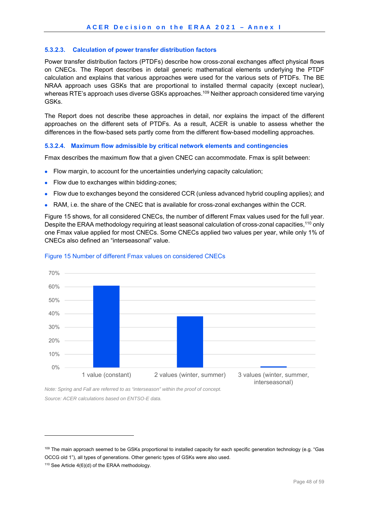#### **5.3.2.3. Calculation of power transfer distribution factors**

Power transfer distribution factors (PTDFs) describe how cross-zonal exchanges affect physical flows on CNECs. The Report describes in detail generic mathematical elements underlying the PTDF calculation and explains that various approaches were used for the various sets of PTDFs. The BE NRAA approach uses GSKs that are proportional to installed thermal capacity (except nuclear), whereas RTE's approach uses diverse GSKs approaches.<sup>109</sup> Neither approach considered time varying GSKs.

The Report does not describe these approaches in detail, nor explains the impact of the different approaches on the different sets of PTDFs. As a result, ACER is unable to assess whether the differences in the flow-based sets partly come from the different flow-based modelling approaches.

#### **5.3.2.4. Maximum flow admissible by critical network elements and contingencies**

Fmax describes the maximum flow that a given CNEC can accommodate. Fmax is split between:

- Flow margin, to account for the uncertainties underlying capacity calculation;
- Flow due to exchanges within bidding-zones:
- Flow due to exchanges beyond the considered CCR (unless advanced hybrid coupling applies); and
- RAM, i.e. the share of the CNEC that is available for cross-zonal exchanges within the CCR.

Figure 15 shows, for all considered CNECs, the number of different Fmax values used for the full year. Despite the ERAA methodology requiring at least seasonal calculation of cross-zonal capacities,<sup>110</sup> only one Fmax value applied for most CNECs. Some CNECs applied two values per year, while only 1% of CNECs also defined an "interseasonal" value.



#### Figure 15 Number of different Fmax values on considered CNECs

*Note: Spring and Fall are referred to as "interseason" within the proof of concept. Source: ACER calculations based on ENTSO-E data.* 

-

<sup>109</sup> The main approach seemed to be GSKs proportional to installed capacity for each specific generation technology (e.g. "Gas OCCG old 1"), all types of generations. Other generic types of GSKs were also used.

<sup>110</sup> See Article 4(6)(d) of the ERAA methodology.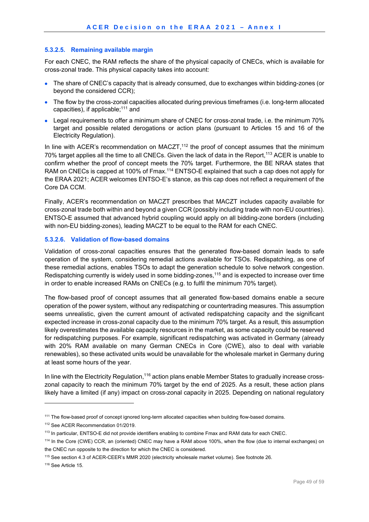#### **5.3.2.5. Remaining available margin**

For each CNEC, the RAM reflects the share of the physical capacity of CNECs, which is available for cross-zonal trade. This physical capacity takes into account:

- The share of CNEC's capacity that is already consumed, due to exchanges within bidding-zones (or beyond the considered CCR);
- The flow by the cross-zonal capacities allocated during previous timeframes (i.e. long-term allocated capacities), if applicable;111 and
- Legal requirements to offer a minimum share of CNEC for cross-zonal trade, i.e. the minimum 70% target and possible related derogations or action plans (pursuant to Articles 15 and 16 of the Electricity Regulation).

In line with ACER's recommendation on MACZT,<sup>112</sup> the proof of concept assumes that the minimum 70% target applies all the time to all CNECs. Given the lack of data in the Report,113 ACER is unable to confirm whether the proof of concept meets the 70% target. Furthermore, the BE NRAA states that RAM on CNECs is capped at 100% of Fmax.<sup>114</sup> ENTSO-E explained that such a cap does not apply for the ERAA 2021; ACER welcomes ENTSO-E's stance, as this cap does not reflect a requirement of the Core DA CCM.

Finally, ACER's recommendation on MACZT prescribes that MACZT includes capacity available for cross-zonal trade both within and beyond a given CCR (possibly including trade with non-EU countries). ENTSO-E assumed that advanced hybrid coupling would apply on all bidding-zone borders (including with non-EU bidding-zones), leading MACZT to be equal to the RAM for each CNEC.

#### **5.3.2.6. Validation of flow-based domains**

Validation of cross-zonal capacities ensures that the generated flow-based domain leads to safe operation of the system, considering remedial actions available for TSOs. Redispatching, as one of these remedial actions, enables TSOs to adapt the generation schedule to solve network congestion. Redispatching currently is widely used in some bidding-zones,115 and is expected to increase over time in order to enable increased RAMs on CNECs (e.g. to fulfil the minimum 70% target).

The flow-based proof of concept assumes that all generated flow-based domains enable a secure operation of the power system, without any redispatching or countertrading measures. This assumption seems unrealistic, given the current amount of activated redispatching capacity and the significant expected increase in cross-zonal capacity due to the minimum 70% target. As a result, this assumption likely overestimates the available capacity resources in the market, as some capacity could be reserved for redispatching purposes. For example, significant redispatching was activated in Germany (already with 20% RAM available on many German CNECs in Core (CWE), also to deal with variable renewables), so these activated units would be unavailable for the wholesale market in Germany during at least some hours of the year.

In line with the Electricity Regulation,<sup>116</sup> action plans enable Member States to gradually increase crosszonal capacity to reach the minimum 70% target by the end of 2025. As a result, these action plans likely have a limited (if any) impact on cross-zonal capacity in 2025. Depending on national regulatory

116 See Article 15.

<sup>111</sup> The flow-based proof of concept ignored long-term allocated capacities when building flow-based domains.

<sup>112</sup> See ACER Recommendation 01/2019.

<sup>113</sup> In particular, ENTSO-E did not provide identifiers enabling to combine Fmax and RAM data for each CNEC.

<sup>114</sup> In the Core (CWE) CCR, an (oriented) CNEC may have a RAM above 100%, when the flow (due to internal exchanges) on the CNEC run opposite to the direction for which the CNEC is considered.

<sup>115</sup> See section 4.3 of ACER-CEER's MMR 2020 (electricity wholesale market volume). See footnote 26.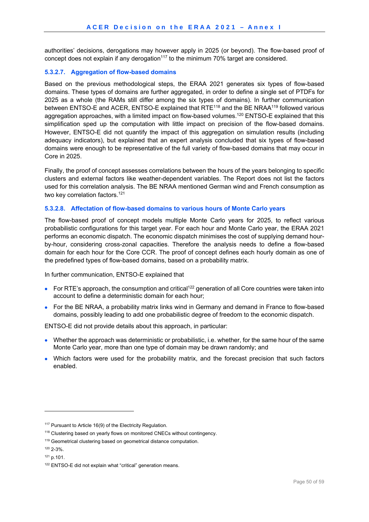authorities' decisions, derogations may however apply in 2025 (or beyond). The flow-based proof of concept does not explain if any derogation<sup>117</sup> to the minimum 70% target are considered.

#### **5.3.2.7. Aggregation of flow-based domains**

Based on the previous methodological steps, the ERAA 2021 generates six types of flow-based domains. These types of domains are further aggregated, in order to define a single set of PTDFs for 2025 as a whole (the RAMs still differ among the six types of domains). In further communication between ENTSO-E and ACER, ENTSO-E explained that RTE<sup>118</sup> and the BE NRAA<sup>119</sup> followed various aggregation approaches, with a limited impact on flow-based volumes.<sup>120</sup> ENTSO-E explained that this simplification sped up the computation with little impact on precision of the flow-based domains. However, ENTSO-E did not quantify the impact of this aggregation on simulation results (including adequacy indicators), but explained that an expert analysis concluded that six types of flow-based domains were enough to be representative of the full variety of flow-based domains that may occur in Core in 2025.

Finally, the proof of concept assesses correlations between the hours of the years belonging to specific clusters and external factors like weather-dependent variables. The Report does not list the factors used for this correlation analysis. The BE NRAA mentioned German wind and French consumption as two key correlation factors.<sup>121</sup>

#### **5.3.2.8. Affectation of flow-based domains to various hours of Monte Carlo years**

The flow-based proof of concept models multiple Monte Carlo years for 2025, to reflect various probabilistic configurations for this target year. For each hour and Monte Carlo year, the ERAA 2021 performs an economic dispatch. The economic dispatch minimises the cost of supplying demand hourby-hour, considering cross-zonal capacities. Therefore the analysis needs to define a flow-based domain for each hour for the Core CCR. The proof of concept defines each hourly domain as one of the predefined types of flow-based domains, based on a probability matrix.

In further communication, ENTSO-E explained that

- For RTE's approach, the consumption and critical<sup>122</sup> generation of all Core countries were taken into account to define a deterministic domain for each hour;
- For the BE NRAA, a probability matrix links wind in Germany and demand in France to flow-based domains, possibly leading to add one probabilistic degree of freedom to the economic dispatch.

ENTSO-E did not provide details about this approach, in particular:

- Whether the approach was deterministic or probabilistic, i.e. whether, for the same hour of the same Monte Carlo year, more than one type of domain may be drawn randomly; and
- Which factors were used for the probability matrix, and the forecast precision that such factors enabled.

-

<sup>&</sup>lt;sup>117</sup> Pursuant to Article 16(9) of the Electricity Regulation.

<sup>&</sup>lt;sup>118</sup> Clustering based on yearly flows on monitored CNECs without contingency.

<sup>&</sup>lt;sup>119</sup> Geometrical clustering based on geometrical distance computation.

<sup>120 2-3%.</sup> 

<sup>121</sup> p.101.

<sup>&</sup>lt;sup>122</sup> ENTSO-E did not explain what "critical" generation means.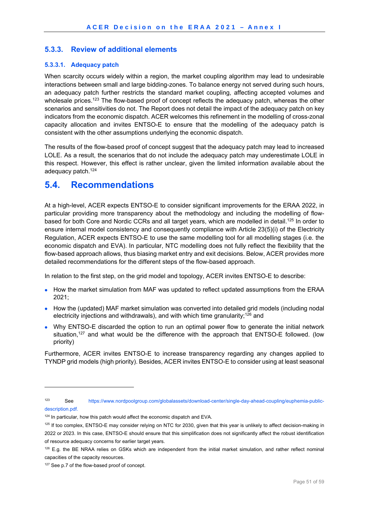### **5.3.3. Review of additional elements**

#### **5.3.3.1. Adequacy patch**

When scarcity occurs widely within a region, the market coupling algorithm may lead to undesirable interactions between small and large bidding-zones. To balance energy not served during such hours, an adequacy patch further restricts the standard market coupling, affecting accepted volumes and wholesale prices.<sup>123</sup> The flow-based proof of concept reflects the adequacy patch, whereas the other scenarios and sensitivities do not. The Report does not detail the impact of the adequacy patch on key indicators from the economic dispatch. ACER welcomes this refinement in the modelling of cross-zonal capacity allocation and invites ENTSO-E to ensure that the modelling of the adequacy patch is consistent with the other assumptions underlying the economic dispatch.

The results of the flow-based proof of concept suggest that the adequacy patch may lead to increased LOLE. As a result, the scenarios that do not include the adequacy patch may underestimate LOLE in this respect. However, this effect is rather unclear, given the limited information available about the adequacy patch.<sup>124</sup>

### **5.4. Recommendations**

At a high-level, ACER expects ENTSO-E to consider significant improvements for the ERAA 2022, in particular providing more transparency about the methodology and including the modelling of flowbased for both Core and Nordic CCRs and all target years, which are modelled in detail.<sup>125</sup> In order to ensure internal model consistency and consequently compliance with Article 23(5)(i) of the Electricity Regulation, ACER expects ENTSO-E to use the same modelling tool for all modelling stages (i.e. the economic dispatch and EVA). In particular, NTC modelling does not fully reflect the flexibility that the flow-based approach allows, thus biasing market entry and exit decisions. Below, ACER provides more detailed recommendations for the different steps of the flow-based approach.

In relation to the first step, on the grid model and topology, ACER invites ENTSO-E to describe:

- How the market simulation from MAF was updated to reflect updated assumptions from the ERAA 2021;
- How the (updated) MAF market simulation was converted into detailed grid models (including nodal electricity injections and withdrawals), and with which time granularity;<sup>126</sup> and
- Why ENTSO-E discarded the option to run an optimal power flow to generate the initial network situation,<sup>127</sup> and what would be the difference with the approach that ENTSO-E followed. (low priority)

Furthermore, ACER invites ENTSO-E to increase transparency regarding any changes applied to TYNDP grid models (high priority). Besides, ACER invites ENTSO-E to consider using at least seasonal

-

<sup>123</sup> See https://www.nordpoolgroup.com/globalassets/download-center/single-day-ahead-coupling/euphemia-publicdescription.pdf.

<sup>&</sup>lt;sup>124</sup> In particular, how this patch would affect the economic dispatch and EVA.

<sup>&</sup>lt;sup>125</sup> If too complex, ENTSO-E may consider relying on NTC for 2030, given that this year is unlikely to affect decision-making in 2022 or 2023. In this case, ENTSO-E should ensure that this simplification does not significantly affect the robust identification of resource adequacy concerns for earlier target years.

<sup>&</sup>lt;sup>126</sup> E.g. the BE NRAA relies on GSKs which are independent from the initial market simulation, and rather reflect nominal capacities of the capacity resources.

<sup>&</sup>lt;sup>127</sup> See p.7 of the flow-based proof of concept.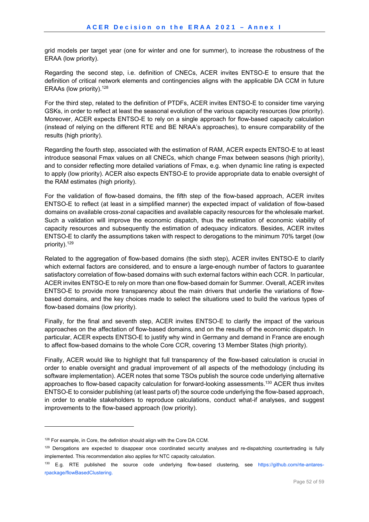grid models per target year (one for winter and one for summer), to increase the robustness of the ERAA (low priority).

Regarding the second step, i.e. definition of CNECs, ACER invites ENTSO-E to ensure that the definition of critical network elements and contingencies aligns with the applicable DA CCM in future ERAAs (low priority).128

For the third step, related to the definition of PTDFs, ACER invites ENTSO-E to consider time varying GSKs, in order to reflect at least the seasonal evolution of the various capacity resources (low priority). Moreover, ACER expects ENTSO-E to rely on a single approach for flow-based capacity calculation (instead of relying on the different RTE and BE NRAA's approaches), to ensure comparability of the results (high priority).

Regarding the fourth step, associated with the estimation of RAM, ACER expects ENTSO-E to at least introduce seasonal Fmax values on all CNECs, which change Fmax between seasons (high priority), and to consider reflecting more detailed variations of Fmax, e.g. when dynamic line rating is expected to apply (low priority). ACER also expects ENTSO-E to provide appropriate data to enable oversight of the RAM estimates (high priority).

For the validation of flow-based domains, the fifth step of the flow-based approach, ACER invites ENTSO-E to reflect (at least in a simplified manner) the expected impact of validation of flow-based domains on available cross-zonal capacities and available capacity resources for the wholesale market. Such a validation will improve the economic dispatch, thus the estimation of economic viability of capacity resources and subsequently the estimation of adequacy indicators. Besides, ACER invites ENTSO-E to clarify the assumptions taken with respect to derogations to the minimum 70% target (low priority).129

Related to the aggregation of flow-based domains (the sixth step), ACER invites ENTSO-E to clarify which external factors are considered, and to ensure a large-enough number of factors to guarantee satisfactory correlation of flow-based domains with such external factors within each CCR. In particular, ACER invites ENTSO-E to rely on more than one flow-based domain for Summer. Overall, ACER invites ENTSO-E to provide more transparency about the main drivers that underlie the variations of flowbased domains, and the key choices made to select the situations used to build the various types of flow-based domains (low priority).

Finally, for the final and seventh step, ACER invites ENTSO-E to clarify the impact of the various approaches on the affectation of flow-based domains, and on the results of the economic dispatch. In particular, ACER expects ENTSO-E to justify why wind in Germany and demand in France are enough to affect flow-based domains to the whole Core CCR, covering 13 Member States (high priority).

Finally, ACER would like to highlight that full transparency of the flow-based calculation is crucial in order to enable oversight and gradual improvement of all aspects of the methodology (including its software implementation). ACER notes that some TSOs publish the source code underlying alternative approaches to flow-based capacity calculation for forward-looking assessments.130 ACER thus invites ENTSO-E to consider publishing (at least parts of) the source code underlying the flow-based approach, in order to enable stakeholders to reproduce calculations, conduct what-if analyses, and suggest improvements to the flow-based approach (low priority).

 $128$  For example, in Core, the definition should align with the Core DA CCM.

<sup>&</sup>lt;sup>129</sup> Derogations are expected to disappear once coordinated security analyses and re-dispatching countertrading is fully implemented. This recommendation also applies for NTC capacity calculation.

<sup>&</sup>lt;sup>130</sup> E.g. RTE published the source code underlying flow-based clustering, see https://github.com/rte-antaresrpackage/flowBasedClustering.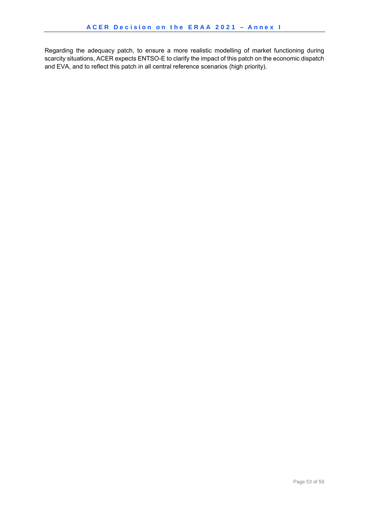Regarding the adequacy patch, to ensure a more realistic modelling of market functioning during scarcity situations, ACER expects ENTSO-E to clarify the impact of this patch on the economic dispatch and EVA, and to reflect this patch in all central reference scenarios (high priority).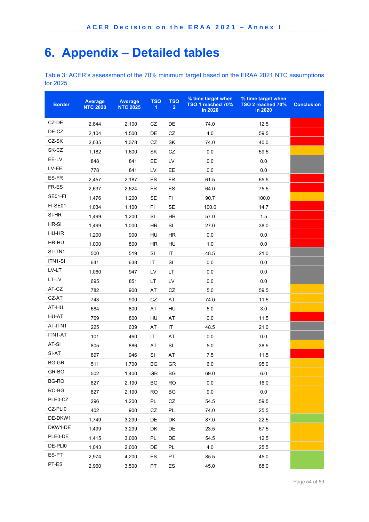# **6. Appendix – Detailed tables**

Table 3: ACER's assessment of the 70% minimum target based on the ERAA 2021 NTC assumptions for 2025

| <b>Border</b> | <b>Average</b><br><b>NTC 2020</b> | <b>Average</b><br><b>NTC 2025</b> | <b>TSO</b><br>1 | <b>TSO</b><br>$\overline{2}$ | % time target when<br>TSO 1 reached 70%<br>in 2020 | % time target when<br>TSO 2 reached 70%<br>in 2020 | <b>Conclusion</b> |
|---------------|-----------------------------------|-----------------------------------|-----------------|------------------------------|----------------------------------------------------|----------------------------------------------------|-------------------|
| CZ-DE         | 2,844                             | 2,100                             | CZ              | DE                           | 74.0                                               | 12.5                                               |                   |
| DE-CZ         | 2,104                             | 1,500                             | DE              | CZ                           | 4.0                                                | 59.5                                               |                   |
| CZ-SK         | 2,035                             | 1,378                             | CZ              | SK                           | 74.0                                               | 40.0                                               |                   |
| SK-CZ         | 1,182                             | 1,600                             | SK              | CZ                           | 0.0                                                | 59.5                                               |                   |
| EE-LV         | 848                               | 841                               | EE              | LV                           | 0.0                                                | 0.0                                                |                   |
| LV-EE         | 778                               | 841                               | LV              | EE                           | 0.0                                                | 0.0                                                |                   |
| ES-FR         | 2,457                             | 2,187                             | ES              | <b>FR</b>                    | 61.5                                               | 65.5                                               |                   |
| FR-ES         | 2,637                             | 2,524                             | FR              | ES                           | 64.0                                               | 75.5                                               |                   |
| SE01-FI       | 1,476                             | 1,200                             | <b>SE</b>       | FI                           | 90.7                                               | 100.0                                              |                   |
| FI-SE01       | 1,034                             | 1,100                             | F1              | SE                           | 100.0                                              | 14.7                                               |                   |
| SI-HR         | 1,499                             | 1,200                             | SI              | HR.                          | 57.0                                               | 1.5                                                |                   |
| HR-SI         | 1,499                             | 1,000                             | HR              | SI                           | 27.0                                               | 38.0                                               |                   |
| HU-HR         | 1,200                             | 900                               | HU              | HR.                          | 0.0                                                | 0.0                                                |                   |
| HR-HU         | 1,000                             | 800                               | HR              | HU                           | 1.0                                                | 0.0                                                |                   |
| SI-ITN1       | 500                               | 519                               | SI              | IT                           | 48.5                                               | 21.0                                               |                   |
| ITN1-SI       | 641                               | 638                               | IT              | SI                           | 0.0                                                | 0.0                                                |                   |
| LV-LT         | 1,060                             | 947                               | LV              | LT                           | 0.0                                                | 0.0                                                |                   |
| LT-LV         | 695                               | 851                               | LT              | LV                           | 0.0                                                | 0.0                                                |                   |
| AT-CZ         | 782                               | 900                               | AT              | CZ                           | 5.0                                                | 59.5                                               |                   |
| CZ-AT         | 743                               | 900                               | CZ              | AT                           | 74.0                                               | 11.5                                               |                   |
| AT-HU         | 684                               | 800                               | AT              | HU                           | 5.0                                                | 3.0                                                |                   |
| HU-AT         | 769                               | 800                               | HU              | AT                           | 0.0                                                | 11.5                                               |                   |
| AT-ITN1       | 225                               | 639                               | AT              | IT                           | 48.5                                               | 21.0                                               |                   |
| ITN1-AT       | 101                               | 460                               | IT              | AT                           | 0.0                                                | 0.0                                                |                   |
| $AT-SI$       | 805                               | 886                               | AT              | SI                           | 5.0                                                | 38.5                                               |                   |
| SI-AT         | 897                               | 946                               | SI              | AT                           | 7.5                                                | 11.5                                               |                   |
| <b>BG-GR</b>  | 511                               | 1,700                             | BG              | GR                           | 6.0                                                | 95.0                                               |                   |
| GR-BG         | 502                               | 1,400                             | GR              | BG                           | 69.0                                               | $6.0\,$                                            |                   |
| <b>BG-RO</b>  | 827                               | 2,190                             | BG              | <b>RO</b>                    | 0.0                                                | 16.0                                               |                   |
| RO-BG         | 827                               | 2,190                             | <b>RO</b>       | BG                           | 9.0                                                | $0.0\,$                                            |                   |
| PLE0-CZ       | 296                               | 1,200                             | PL              | CZ                           | 54.5                                               | 59.5                                               |                   |
| CZ-PLI0       | 402                               | 900                               | CZ              | PL                           | 74.0                                               | 25.5                                               |                   |
| DE-DKW1       | 1,749                             | 3,299                             | DE              | DK                           | 87.0                                               | 22.5                                               |                   |
| DKW1-DE       | 1,499                             | 3,299                             | DK              | DE                           | 23.5                                               | 67.5                                               |                   |
| PLE0-DE       | 1,415                             | 3,000                             | <b>PL</b>       | DE                           | 54.5                                               | 12.5                                               |                   |
| DE-PLI0       | 1,043                             | 2,000                             | DE              | PL.                          | 4.0                                                | 25.5                                               |                   |
| ES-PT         | 2,974                             | 4,200                             | ES              | PT                           | 85.5                                               | 45.0                                               |                   |
| PT-ES         | 2,960                             | 3,500                             | PT              | ES                           | 45.0                                               | 88.0                                               |                   |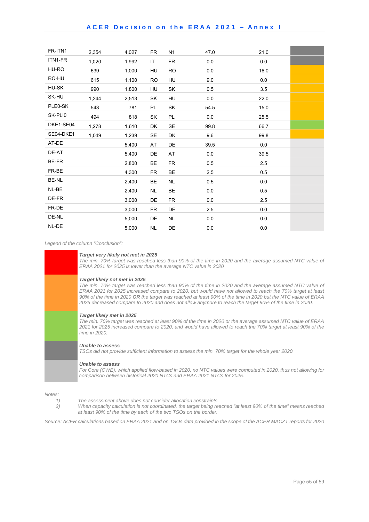#### ACER Decision on the ERAA 2021 – Annex I

| FR-ITN1      | 2,354 | 4,027 | <b>FR</b> | N <sub>1</sub> | 47.0 | 21.0 |  |
|--------------|-------|-------|-----------|----------------|------|------|--|
| ITN1-FR      | 1,020 | 1,992 | IT        | <b>FR</b>      | 0.0  | 0.0  |  |
| HU-RO        | 639   | 1,000 | HU        | <b>RO</b>      | 0.0  | 16.0 |  |
| RO-HU        | 615   | 1,100 | <b>RO</b> | HU             | 9.0  | 0.0  |  |
| HU-SK        | 990   | 1,800 | HU        | SK             | 0.5  | 3.5  |  |
| SK-HU        | 1,244 | 2,513 | SK        | HU             | 0.0  | 22.0 |  |
| PLE0-SK      | 543   | 781   | PL        | SK             | 54.5 | 15.0 |  |
| SK-PLI0      | 494   | 818   | SK        | PL.            | 0.0  | 25.5 |  |
| DKE1-SE04    | 1,278 | 1,610 | DK        | <b>SE</b>      | 99.8 | 66.7 |  |
| SE04-DKE1    | 1,049 | 1,239 | SE        | DK             | 9.6  | 99.8 |  |
| AT-DE        |       | 5,400 | AT        | DE             | 39.5 | 0.0  |  |
| DE-AT        |       | 5,400 | DE        | AT             | 0.0  | 39.5 |  |
| <b>BE-FR</b> |       | 2,800 | BE        | FR             | 0.5  | 2.5  |  |
| FR-BE        |       | 4,300 | <b>FR</b> | BE             | 2.5  | 0.5  |  |
| BE-NL        |       | 2,400 | BE        | <b>NL</b>      | 0.5  | 0.0  |  |
| NL-BE        |       | 2,400 | NL.       | <b>BE</b>      | 0.0  | 0.5  |  |
| DE-FR        |       | 3,000 | DE        | <b>FR</b>      | 0.0  | 2.5  |  |
| FR-DE        |       | 3,000 | <b>FR</b> | DE             | 2.5  | 0.0  |  |
| DE-NL        |       | 5,000 | DE        | NL.            | 0.0  | 0.0  |  |
| NL-DE        |       | 5,000 | <b>NL</b> | DE             | 0.0  | 0.0  |  |

*Legend of the column "Conclusion":* 

| Target very likely not met in 2025<br>The min. 70% target was reached less than 90% of the time in 2020 and the average assumed NTC value of<br>ERAA 2021 for 2025 is lower than the average NTC value in 2020                                                                                                                                                                                                                                                                 |
|--------------------------------------------------------------------------------------------------------------------------------------------------------------------------------------------------------------------------------------------------------------------------------------------------------------------------------------------------------------------------------------------------------------------------------------------------------------------------------|
| Target likely not met in 2025<br>The min. 70% target was reached less than 90% of the time in 2020 and the average assumed NTC value of<br>ERAA 2021 for 2025 increased compare to 2020, but would have not allowed to reach the 70% target at least<br>90% of the time in 2020 OR the target was reached at least 90% of the time in 2020 but the NTC value of ERAA<br>2025 decreased compare to 2020 and does not allow anymore to reach the target 90% of the time in 2020. |
| <b>Target likely met in 2025</b><br>The min. 70% target was reached at least 90% of the time in 2020 or the average assumed NTC value of ERAA<br>2021 for 2025 increased compare to 2020, and would have allowed to reach the 70% target at least 90% of the<br>time in 2020.                                                                                                                                                                                                  |
| Unable to assess<br>TSOs did not provide sufficient information to assess the min. 70% target for the whole year 2020.                                                                                                                                                                                                                                                                                                                                                         |
| Unable to assess<br>For Core (CWE), which applied flow-based in 2020, no NTC values were computed in 2020, thus not allowing for<br>comparison between historical 2020 NTCs and ERAA 2021 NTCs for 2025.                                                                                                                                                                                                                                                                       |
|                                                                                                                                                                                                                                                                                                                                                                                                                                                                                |

*Notes:* 

- *1) The assessment above does not consider allocation constraints.*
- *2) When capacity calculation is not coordinated, the target being reached "at least 90% of the time" means reached at least 90% of the time by each of the two TSOs on the border.*

*Source: ACER calculations based on ERAA 2021 and on TSOs data provided in the scope of the ACER MACZT reports for 2020*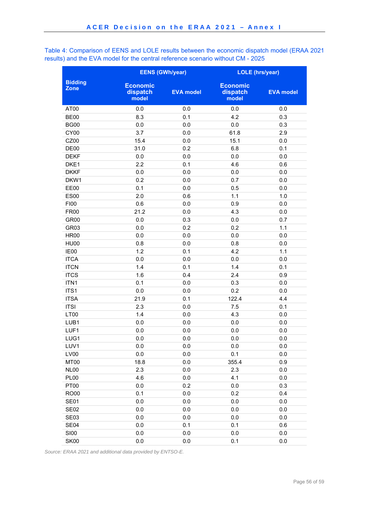Table 4: Comparison of EENS and LOLE results between the economic dispatch model (ERAA 2021 results) and the EVA model for the central reference scenario without CM - 2025

|                               | <b>EENS (GWh/year)</b>               |                  | <b>LOLE</b> (hrs/year)               |                  |
|-------------------------------|--------------------------------------|------------------|--------------------------------------|------------------|
| <b>Bidding</b><br><b>Zone</b> | <b>Economic</b><br>dispatch<br>model | <b>EVA model</b> | <b>Economic</b><br>dispatch<br>model | <b>EVA model</b> |
| AT00                          | $0.0\,$                              | 0.0              | 0.0                                  | 0.0              |
| <b>BE00</b>                   | 8.3                                  | 0.1              | 4.2                                  | 0.3              |
| <b>BG00</b>                   | 0.0                                  | 0.0              | 0.0                                  | 0.3              |
| CY00                          | 3.7                                  | 0.0              | 61.8                                 | 2.9              |
| CZ00                          | 15.4                                 | 0.0              | 15.1                                 | 0.0              |
| DE00                          | 31.0                                 | 0.2              | 6.8                                  | 0.1              |
| <b>DEKF</b>                   | 0.0                                  | 0.0              | 0.0                                  | 0.0              |
| DKE1                          | 2.2                                  | 0.1              | 4.6                                  | 0.6              |
| <b>DKKF</b>                   | 0.0                                  | 0.0              | 0.0                                  | 0.0              |
| DKW1                          | 0.2                                  | 0.0              | 0.7                                  | 0.0              |
| EE00                          | 0.1                                  | 0.0              | 0.5                                  | 0.0              |
| <b>ES00</b>                   | 2.0                                  | 0.6              | 1.1                                  | 1.0              |
| <b>FI00</b>                   | 0.6                                  | 0.0              | 0.9                                  | 0.0              |
| <b>FR00</b>                   | 21.2                                 | 0.0              | 4.3                                  | 0.0              |
| GR <sub>00</sub>              | 0.0                                  | 0.3              | 0.0                                  | 0.7              |
| GR <sub>03</sub>              | 0.0                                  | 0.2              | 0.2                                  | 1.1              |
| <b>HR00</b>                   | 0.0                                  | 0.0              | 0.0                                  | 0.0              |
| <b>HU00</b>                   | 0.8                                  | 0.0              | 0.8                                  | 0.0              |
| IE00                          | 1.2                                  | 0.1              | 4.2                                  | 1.1              |
| <b>ITCA</b>                   | 0.0                                  | 0.0              | 0.0                                  | 0.0              |
| <b>ITCN</b>                   | 1.4                                  | 0.1              | 1.4                                  | 0.1              |
| <b>ITCS</b>                   | 1.6                                  | 0.4              | 2.4                                  | 0.9              |
| ITN1                          | 0.1                                  | 0.0              | 0.3                                  | 0.0              |
| ITS1                          | 0.0                                  | 0.0              | 0.2                                  | 0.0              |
| <b>ITSA</b>                   | 21.9                                 | 0.1              | 122.4                                | 4.4              |
| <b>ITSI</b>                   | 2.3                                  | 0.0              | 7.5                                  | 0.1              |
| LT00                          | 1.4                                  | 0.0              | 4.3                                  | 0.0              |
| LUB1                          | 0.0                                  | 0.0              | 0.0                                  | 0.0              |
| LUF1                          | 0.0                                  | 0.0              | 0.0                                  | 0.0              |
| LUG1                          | 0.0                                  | 0.0              | 0.0                                  | 0.0              |
| LUV1                          | 0.0                                  | 0.0              | 0.0                                  | 0.0              |
| LV00                          | 0.0                                  | 0.0              | 0.1                                  | 0.0              |
| MT00                          | 18.8                                 | 0.0              | 355.4                                | 0.9              |
| NL00                          | 2.3                                  | 0.0              | 2.3                                  | 0.0              |
| <b>PL00</b>                   | 4.6                                  | 0.0              | 4.1                                  | 0.0              |
| <b>PT00</b>                   | 0.0                                  | 0.2              | 0.0                                  | 0.3              |
| <b>RO00</b>                   | 0.1                                  | 0.0              | 0.2                                  | 0.4              |
| <b>SE01</b>                   | 0.0                                  | 0.0              | 0.0                                  | 0.0              |
| <b>SE02</b>                   | 0.0                                  | 0.0              | 0.0                                  | 0.0              |
| <b>SE03</b>                   | 0.0                                  | 0.0              | 0.0                                  | 0.0              |
| SE04                          | 0.0                                  | 0.1              | 0.1                                  | 0.6              |
| <b>SI00</b>                   | 0.0                                  | 0.0              | 0.0                                  | 0.0              |
| <b>SK00</b>                   | 0.0                                  | 0.0              | 0.1                                  | 0.0              |

*Source: ERAA 2021 and additional data provided by ENTSO-E.*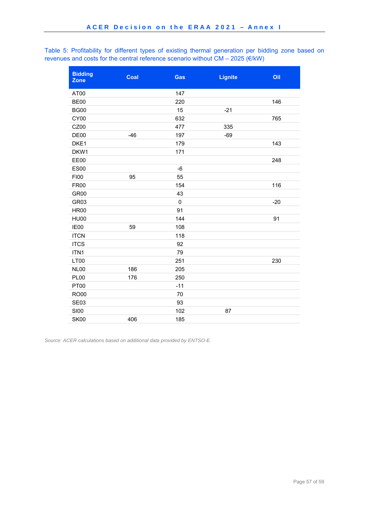Table 5: Profitability for different types of existing thermal generation per bidding zone based on revenues and costs for the central reference scenario without CM – 2025 ( $\varepsilon$ /kW)

| <b>Bidding</b><br><b>Zone</b> | Coal  | Gas       | <b>Lignite</b> | Oil   |
|-------------------------------|-------|-----------|----------------|-------|
| AT00                          |       | 147       |                |       |
| <b>BE00</b>                   |       | 220       |                | 146   |
| <b>BG00</b>                   |       | 15        | $-21$          |       |
| CY00                          |       | 632       |                | 765   |
| CZ00                          |       | 477       | 335            |       |
| DE <sub>00</sub>              | $-46$ | 197       | $-69$          |       |
| DKE1                          |       | 179       |                | 143   |
| DKW1                          |       | 171       |                |       |
| <b>EE00</b>                   |       |           |                | 248   |
| <b>ES00</b>                   |       | $-6$      |                |       |
| F100                          | 95    | 55        |                |       |
| <b>FR00</b>                   |       | 154       |                | 116   |
| GR <sub>00</sub>              |       | 43        |                |       |
| GR03                          |       | $\pmb{0}$ |                | $-20$ |
| <b>HR00</b>                   |       | 91        |                |       |
| <b>HU00</b>                   |       | 144       |                | 91    |
| IE00                          | 59    | 108       |                |       |
| <b>ITCN</b>                   |       | 118       |                |       |
| <b>ITCS</b>                   |       | 92        |                |       |
| ITN1                          |       | 79        |                |       |
| LT00                          |       | 251       |                | 230   |
| <b>NL00</b>                   | 186   | 205       |                |       |
| <b>PL00</b>                   | 176   | 250       |                |       |
| <b>PT00</b>                   |       | $-11$     |                |       |
| <b>RO00</b>                   |       | 70        |                |       |
| <b>SE03</b>                   |       | 93        |                |       |
| <b>SI00</b>                   |       | 102       | 87             |       |
| <b>SK00</b>                   | 406   | 185       |                |       |

*Source: ACER calculations based on additional data provided by ENTSO-E.*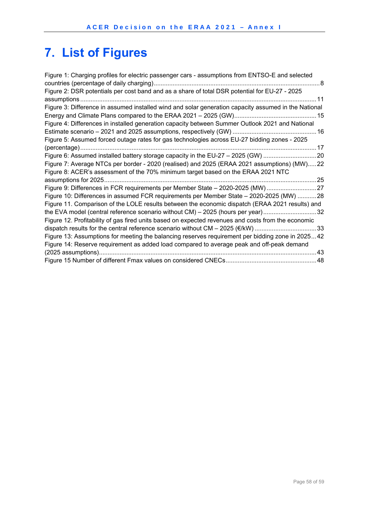# **7. List of Figures**

| Figure 1: Charging profiles for electric passenger cars - assumptions from ENTSO-E and selected      |
|------------------------------------------------------------------------------------------------------|
| Figure 2: DSR potentials per cost band and as a share of total DSR potential for EU-27 - 2025        |
|                                                                                                      |
| Figure 3: Difference in assumed installed wind and solar generation capacity assumed in the National |
|                                                                                                      |
| Figure 4: Differences in installed generation capacity between Summer Outlook 2021 and National      |
|                                                                                                      |
| Figure 5: Assumed forced outage rates for gas technologies across EU-27 bidding zones - 2025         |
|                                                                                                      |
| Figure 6: Assumed installed battery storage capacity in the EU-27 - 2025 (GW) 20                     |
| Figure 7: Average NTCs per border - 2020 (realised) and 2025 (ERAA 2021 assumptions) (MW)22          |
| Figure 8: ACER's assessment of the 70% minimum target based on the ERAA 2021 NTC                     |
|                                                                                                      |
| Figure 9: Differences in FCR requirements per Member State - 2020-2025 (MW) 27                       |
| Figure 10: Differences in assumed FCR requirements per Member State - 2020-2025 (MW) 28              |
| Figure 11. Comparison of the LOLE results between the economic dispatch (ERAA 2021 results) and      |
| the EVA model (central reference scenario without CM) - 2025 (hours per year)32                      |
| Figure 12. Profitability of gas fired units based on expected revenues and costs from the economic   |
| dispatch results for the central reference scenario without CM - 2025 (€/kW) 33                      |
| Figure 13: Assumptions for meeting the balancing reserves requirement per bidding zone in 202542     |
| Figure 14: Reserve requirement as added load compared to average peak and off-peak demand            |
|                                                                                                      |
|                                                                                                      |